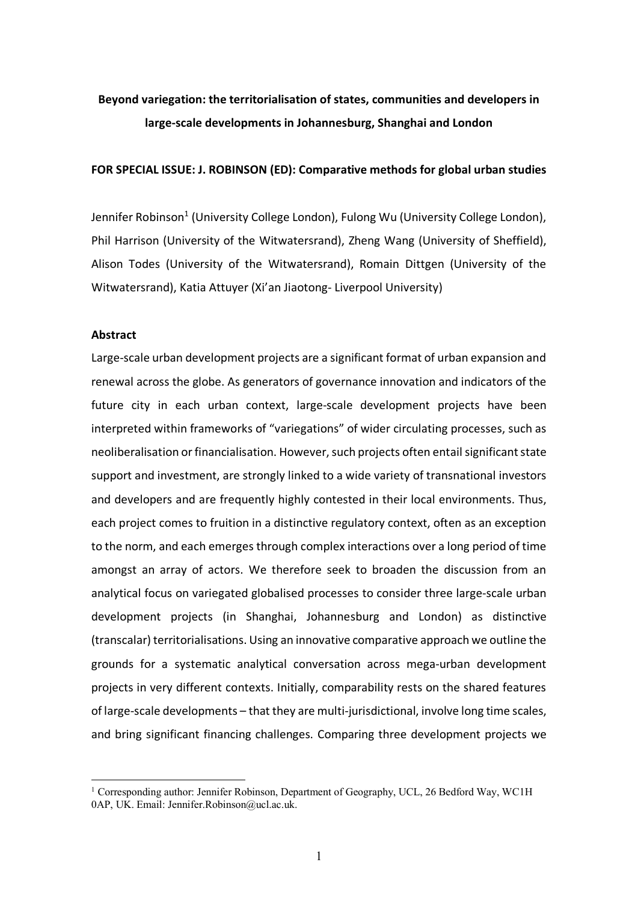# **Beyond variegation: the territorialisation of states, communities and developers in large-scale developments in Johannesburg, Shanghai and London**

# **FOR SPECIAL ISSUE: J. ROBINSON (ED): Comparative methods for global urban studies**

Jennifer Robinson<sup>1</sup> (University College London), Fulong Wu (University College London), Phil Harrison (University of the Witwatersrand), Zheng Wang (University of Sheffield), Alison Todes (University of the Witwatersrand), Romain Dittgen (University of the Witwatersrand), Katia Attuyer (Xi'an Jiaotong- Liverpool University)

# **Abstract**

Large-scale urban development projects are a significant format of urban expansion and renewal across the globe. As generators of governance innovation and indicators of the future city in each urban context, large-scale development projects have been interpreted within frameworks of "variegations" of wider circulating processes, such as neoliberalisation or financialisation. However, such projects often entail significant state support and investment, are strongly linked to a wide variety of transnational investors and developers and are frequently highly contested in their local environments. Thus, each project comes to fruition in a distinctive regulatory context, often as an exception to the norm, and each emerges through complex interactions over a long period of time amongst an array of actors. We therefore seek to broaden the discussion from an analytical focus on variegated globalised processes to consider three large-scale urban development projects (in Shanghai, Johannesburg and London) as distinctive (transcalar) territorialisations. Using an innovative comparative approach we outline the grounds for a systematic analytical conversation across mega-urban development projects in very different contexts. Initially, comparability rests on the shared features of large-scale developments – that they are multi-jurisdictional, involve long time scales, and bring significant financing challenges. Comparing three development projects we

<sup>&</sup>lt;sup>1</sup> Corresponding author: Jennifer Robinson, Department of Geography, UCL, 26 Bedford Way, WC1H 0AP, UK. Email: Jennifer.Robinson@ucl.ac.uk.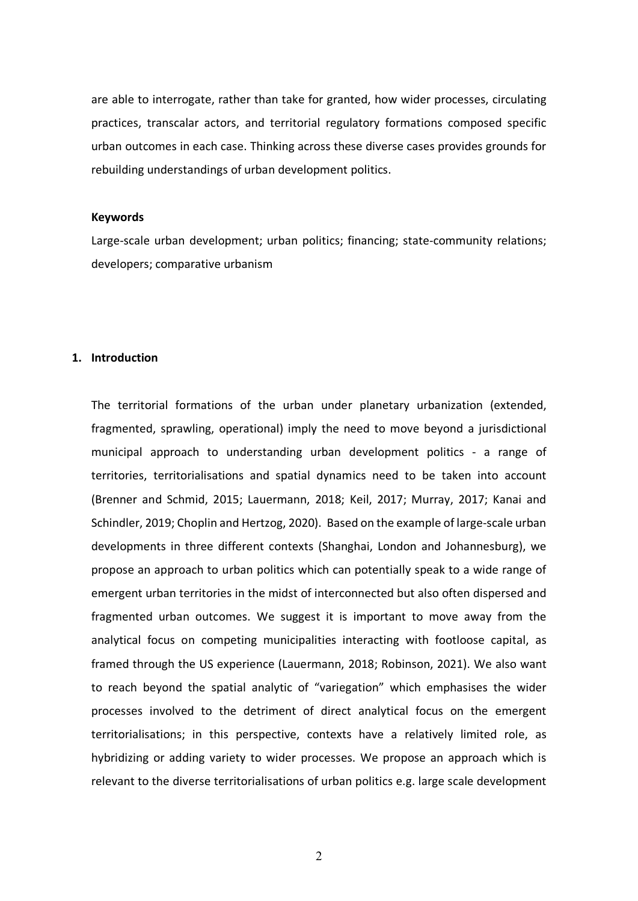are able to interrogate, rather than take for granted, how wider processes, circulating practices, transcalar actors, and territorial regulatory formations composed specific urban outcomes in each case. Thinking across these diverse cases provides grounds for rebuilding understandings of urban development politics.

## **Keywords**

Large-scale urban development; urban politics; financing; state-community relations; developers; comparative urbanism

### **1. Introduction**

The territorial formations of the urban under planetary urbanization (extended, fragmented, sprawling, operational) imply the need to move beyond a jurisdictional municipal approach to understanding urban development politics - a range of territories, territorialisations and spatial dynamics need to be taken into account (Brenner and Schmid, 2015; Lauermann, 2018; Keil, 2017; Murray, 2017; Kanai and Schindler, 2019; Choplin and Hertzog, 2020). Based on the example of large-scale urban developments in three different contexts (Shanghai, London and Johannesburg), we propose an approach to urban politics which can potentially speak to a wide range of emergent urban territories in the midst of interconnected but also often dispersed and fragmented urban outcomes. We suggest it is important to move away from the analytical focus on competing municipalities interacting with footloose capital, as framed through the US experience (Lauermann, 2018; Robinson, 2021). We also want to reach beyond the spatial analytic of "variegation" which emphasises the wider processes involved to the detriment of direct analytical focus on the emergent territorialisations; in this perspective, contexts have a relatively limited role, as hybridizing or adding variety to wider processes. We propose an approach which is relevant to the diverse territorialisations of urban politics e.g. large scale development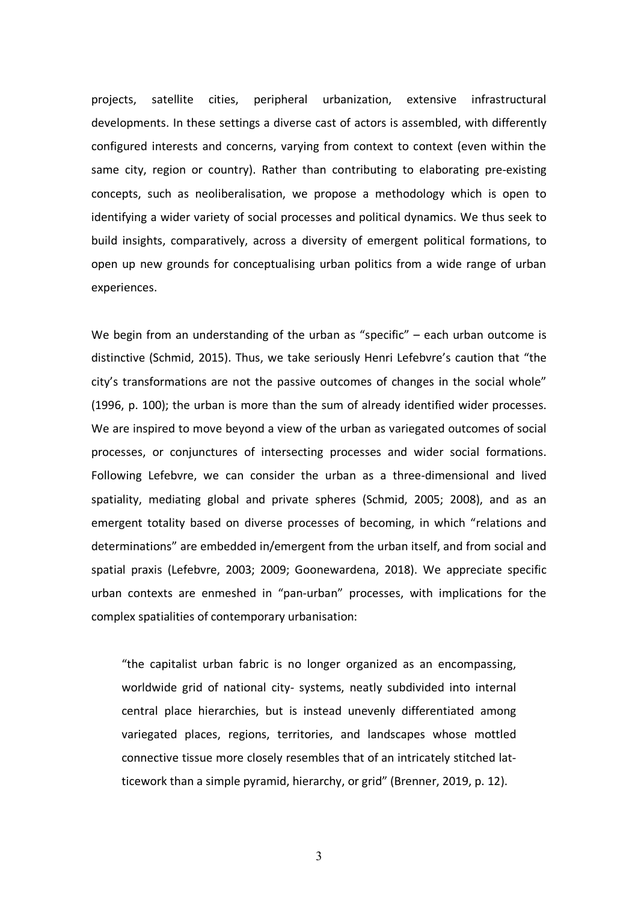projects, satellite cities, peripheral urbanization, extensive infrastructural developments. In these settings a diverse cast of actors is assembled, with differently configured interests and concerns, varying from context to context (even within the same city, region or country). Rather than contributing to elaborating pre-existing concepts, such as neoliberalisation, we propose a methodology which is open to identifying a wider variety of social processes and political dynamics. We thus seek to build insights, comparatively, across a diversity of emergent political formations, to open up new grounds for conceptualising urban politics from a wide range of urban experiences.

We begin from an understanding of the urban as "specific" – each urban outcome is distinctive (Schmid, 2015). Thus, we take seriously Henri Lefebvre's caution that "the city's transformations are not the passive outcomes of changes in the social whole" (1996, p. 100); the urban is more than the sum of already identified wider processes. We are inspired to move beyond a view of the urban as variegated outcomes of social processes, or conjunctures of intersecting processes and wider social formations. Following Lefebvre, we can consider the urban as a three-dimensional and lived spatiality, mediating global and private spheres (Schmid, 2005; 2008), and as an emergent totality based on diverse processes of becoming, in which "relations and determinations" are embedded in/emergent from the urban itself, and from social and spatial praxis (Lefebvre, 2003; 2009; Goonewardena, 2018). We appreciate specific urban contexts are enmeshed in "pan-urban" processes, with implications for the complex spatialities of contemporary urbanisation:

"the capitalist urban fabric is no longer organized as an encompassing, worldwide grid of national city- systems, neatly subdivided into internal central place hierarchies, but is instead unevenly differentiated among variegated places, regions, territories, and landscapes whose mottled connective tissue more closely resembles that of an intricately stitched latticework than a simple pyramid, hierarchy, or grid" (Brenner, 2019, p. 12).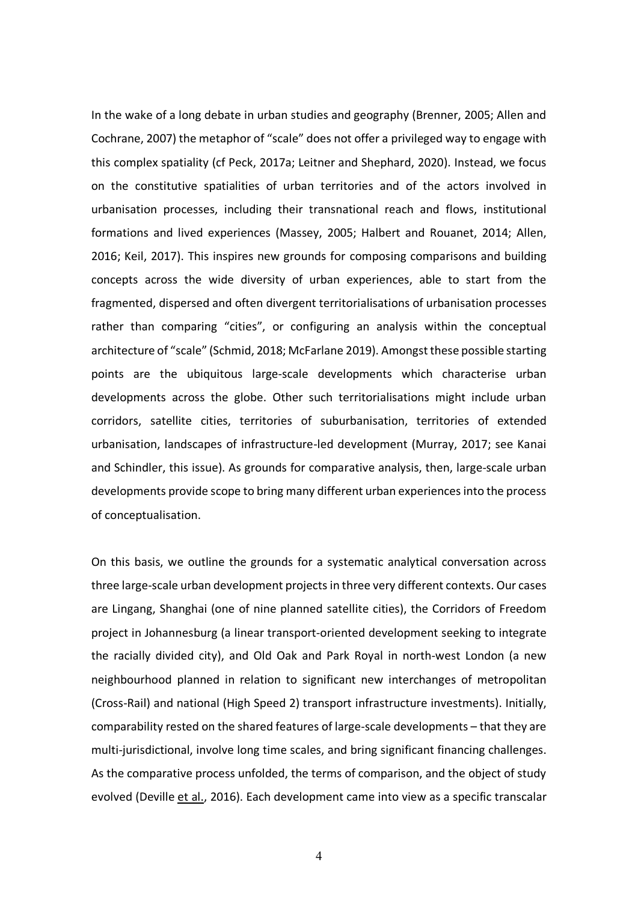In the wake of a long debate in urban studies and geography (Brenner, 2005; Allen and Cochrane, 2007) the metaphor of "scale" does not offer a privileged way to engage with this complex spatiality (cf Peck, 2017a; Leitner and Shephard, 2020). Instead, we focus on the constitutive spatialities of urban territories and of the actors involved in urbanisation processes, including their transnational reach and flows, institutional formations and lived experiences (Massey, 2005; Halbert and Rouanet, 2014; Allen, 2016; Keil, 2017). This inspires new grounds for composing comparisons and building concepts across the wide diversity of urban experiences, able to start from the fragmented, dispersed and often divergent territorialisations of urbanisation processes rather than comparing "cities", or configuring an analysis within the conceptual architecture of "scale" (Schmid, 2018; McFarlane 2019). Amongst these possible starting points are the ubiquitous large-scale developments which characterise urban developments across the globe. Other such territorialisations might include urban corridors, satellite cities, territories of suburbanisation, territories of extended urbanisation, landscapes of infrastructure-led development (Murray, 2017; see Kanai and Schindler, this issue). As grounds for comparative analysis, then, large-scale urban developments provide scope to bring many different urban experiences into the process of conceptualisation.

On this basis, we outline the grounds for a systematic analytical conversation across three large-scale urban development projects in three very different contexts. Our cases are Lingang, Shanghai (one of nine planned satellite cities), the Corridors of Freedom project in Johannesburg (a linear transport-oriented development seeking to integrate the racially divided city), and Old Oak and Park Royal in north-west London (a new neighbourhood planned in relation to significant new interchanges of metropolitan (Cross-Rail) and national (High Speed 2) transport infrastructure investments). Initially, comparability rested on the shared features of large-scale developments – that they are multi-jurisdictional, involve long time scales, and bring significant financing challenges. As the comparative process unfolded, the terms of comparison, and the object of study evolved (Deville et al., 2016). Each development came into view as a specific transcalar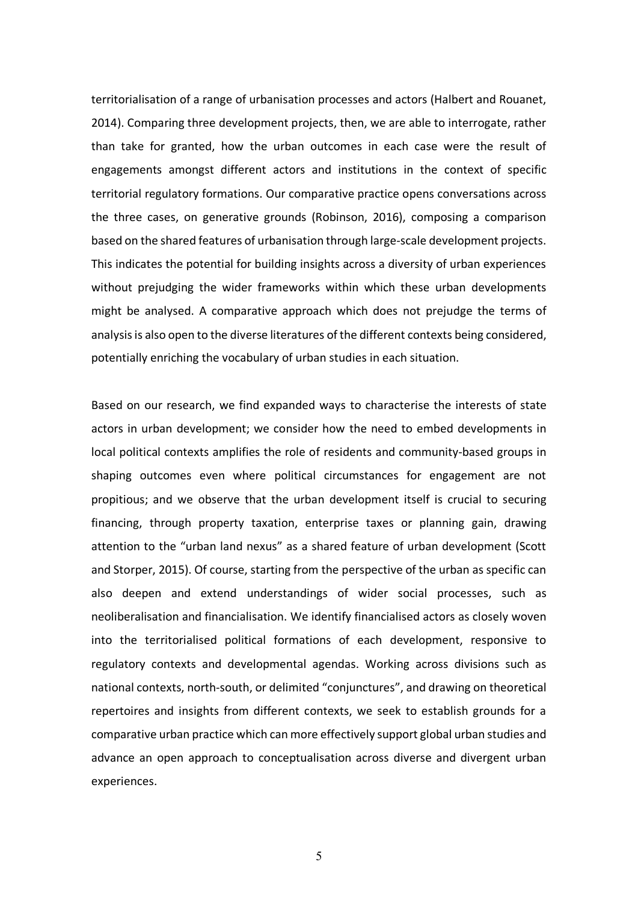territorialisation of a range of urbanisation processes and actors (Halbert and Rouanet, 2014). Comparing three development projects, then, we are able to interrogate, rather than take for granted, how the urban outcomes in each case were the result of engagements amongst different actors and institutions in the context of specific territorial regulatory formations. Our comparative practice opens conversations across the three cases, on generative grounds (Robinson, 2016), composing a comparison based on the shared features of urbanisation through large-scale development projects. This indicates the potential for building insights across a diversity of urban experiences without prejudging the wider frameworks within which these urban developments might be analysed. A comparative approach which does not prejudge the terms of analysis is also open to the diverse literatures of the different contexts being considered, potentially enriching the vocabulary of urban studies in each situation.

Based on our research, we find expanded ways to characterise the interests of state actors in urban development; we consider how the need to embed developments in local political contexts amplifies the role of residents and community-based groups in shaping outcomes even where political circumstances for engagement are not propitious; and we observe that the urban development itself is crucial to securing financing, through property taxation, enterprise taxes or planning gain, drawing attention to the "urban land nexus" as a shared feature of urban development (Scott and Storper, 2015). Of course, starting from the perspective of the urban as specific can also deepen and extend understandings of wider social processes, such as neoliberalisation and financialisation. We identify financialised actors as closely woven into the territorialised political formations of each development, responsive to regulatory contexts and developmental agendas. Working across divisions such as national contexts, north-south, or delimited "conjunctures", and drawing on theoretical repertoires and insights from different contexts, we seek to establish grounds for a comparative urban practice which can more effectively support global urban studies and advance an open approach to conceptualisation across diverse and divergent urban experiences.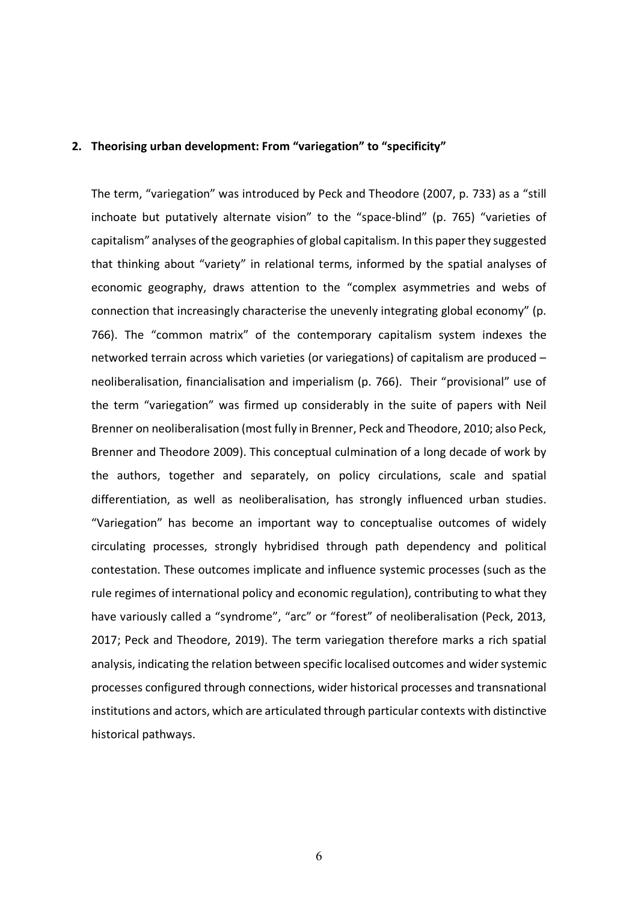# **2. Theorising urban development: From "variegation" to "specificity"**

The term, "variegation" was introduced by Peck and Theodore (2007, p. 733) as a "still inchoate but putatively alternate vision" to the "space-blind" (p. 765) "varieties of capitalism" analyses of the geographies of global capitalism. In this paper they suggested that thinking about "variety" in relational terms, informed by the spatial analyses of economic geography, draws attention to the "complex asymmetries and webs of connection that increasingly characterise the unevenly integrating global economy" (p. 766). The "common matrix" of the contemporary capitalism system indexes the networked terrain across which varieties (or variegations) of capitalism are produced – neoliberalisation, financialisation and imperialism (p. 766). Their "provisional" use of the term "variegation" was firmed up considerably in the suite of papers with Neil Brenner on neoliberalisation (most fully in Brenner, Peck and Theodore, 2010; also Peck, Brenner and Theodore 2009). This conceptual culmination of a long decade of work by the authors, together and separately, on policy circulations, scale and spatial differentiation, as well as neoliberalisation, has strongly influenced urban studies. "Variegation" has become an important way to conceptualise outcomes of widely circulating processes, strongly hybridised through path dependency and political contestation. These outcomes implicate and influence systemic processes (such as the rule regimes of international policy and economic regulation), contributing to what they have variously called a "syndrome", "arc" or "forest" of neoliberalisation (Peck, 2013, 2017; Peck and Theodore, 2019). The term variegation therefore marks a rich spatial analysis, indicating the relation between specific localised outcomes and wider systemic processes configured through connections, wider historical processes and transnational institutions and actors, which are articulated through particular contexts with distinctive historical pathways.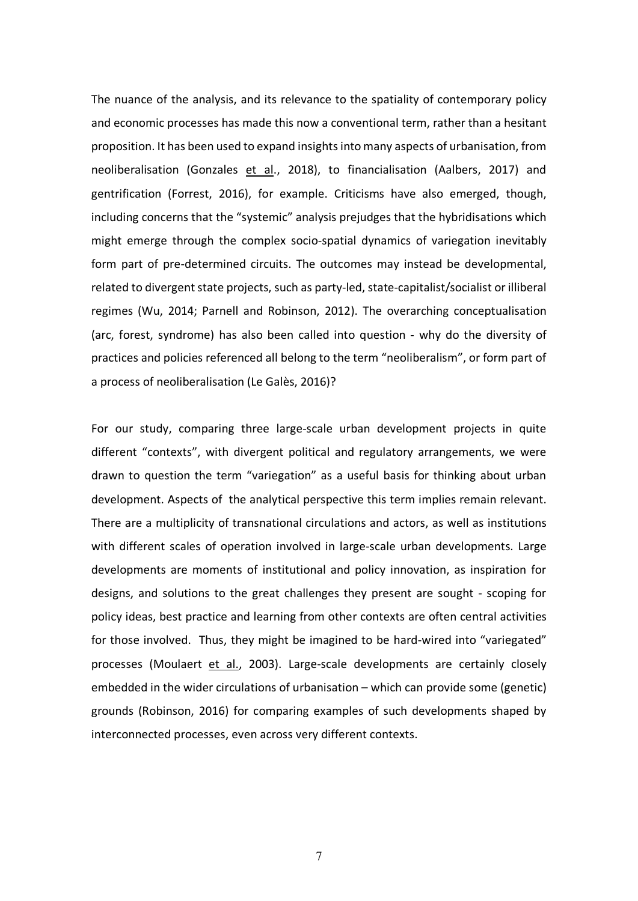The nuance of the analysis, and its relevance to the spatiality of contemporary policy and economic processes has made this now a conventional term, rather than a hesitant proposition. It has been used to expand insights into many aspects of urbanisation, from neoliberalisation (Gonzales et al., 2018), to financialisation (Aalbers, 2017) and gentrification (Forrest, 2016), for example. Criticisms have also emerged, though, including concerns that the "systemic" analysis prejudges that the hybridisations which might emerge through the complex socio-spatial dynamics of variegation inevitably form part of pre-determined circuits. The outcomes may instead be developmental, related to divergent state projects, such as party-led, state-capitalist/socialist or illiberal regimes (Wu, 2014; Parnell and Robinson, 2012). The overarching conceptualisation (arc, forest, syndrome) has also been called into question - why do the diversity of practices and policies referenced all belong to the term "neoliberalism", or form part of a process of neoliberalisation (Le Galès, 2016)?

For our study, comparing three large-scale urban development projects in quite different "contexts", with divergent political and regulatory arrangements, we were drawn to question the term "variegation" as a useful basis for thinking about urban development. Aspects of the analytical perspective this term implies remain relevant. There are a multiplicity of transnational circulations and actors, as well as institutions with different scales of operation involved in large-scale urban developments. Large developments are moments of institutional and policy innovation, as inspiration for designs, and solutions to the great challenges they present are sought - scoping for policy ideas, best practice and learning from other contexts are often central activities for those involved. Thus, they might be imagined to be hard-wired into "variegated" processes (Moulaert et al., 2003). Large-scale developments are certainly closely embedded in the wider circulations of urbanisation – which can provide some (genetic) grounds (Robinson, 2016) for comparing examples of such developments shaped by interconnected processes, even across very different contexts.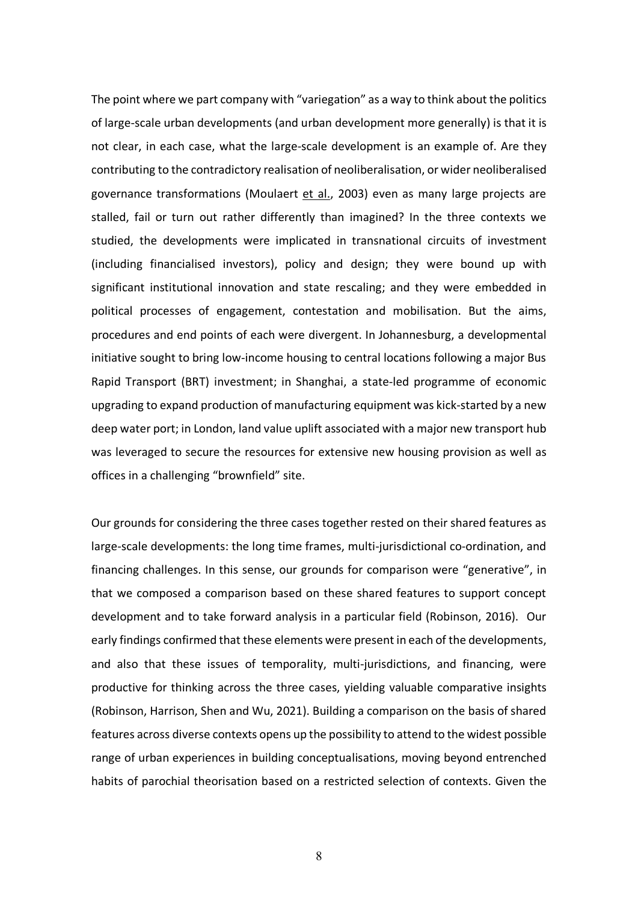The point where we part company with "variegation" as a way to think about the politics of large-scale urban developments (and urban development more generally) is that it is not clear, in each case, what the large-scale development is an example of. Are they contributing to the contradictory realisation of neoliberalisation, or wider neoliberalised governance transformations (Moulaert et al., 2003) even as many large projects are stalled, fail or turn out rather differently than imagined? In the three contexts we studied, the developments were implicated in transnational circuits of investment (including financialised investors), policy and design; they were bound up with significant institutional innovation and state rescaling; and they were embedded in political processes of engagement, contestation and mobilisation. But the aims, procedures and end points of each were divergent. In Johannesburg, a developmental initiative sought to bring low-income housing to central locations following a major Bus Rapid Transport (BRT) investment; in Shanghai, a state-led programme of economic upgrading to expand production of manufacturing equipment was kick-started by a new deep water port; in London, land value uplift associated with a major new transport hub was leveraged to secure the resources for extensive new housing provision as well as offices in a challenging "brownfield" site.

Our grounds for considering the three cases together rested on their shared features as large-scale developments: the long time frames, multi-jurisdictional co-ordination, and financing challenges. In this sense, our grounds for comparison were "generative", in that we composed a comparison based on these shared features to support concept development and to take forward analysis in a particular field (Robinson, 2016). Our early findings confirmed that these elements were present in each of the developments, and also that these issues of temporality, multi-jurisdictions, and financing, were productive for thinking across the three cases, yielding valuable comparative insights (Robinson, Harrison, Shen and Wu, 2021). Building a comparison on the basis of shared features across diverse contexts opens up the possibility to attend to the widest possible range of urban experiences in building conceptualisations, moving beyond entrenched habits of parochial theorisation based on a restricted selection of contexts. Given the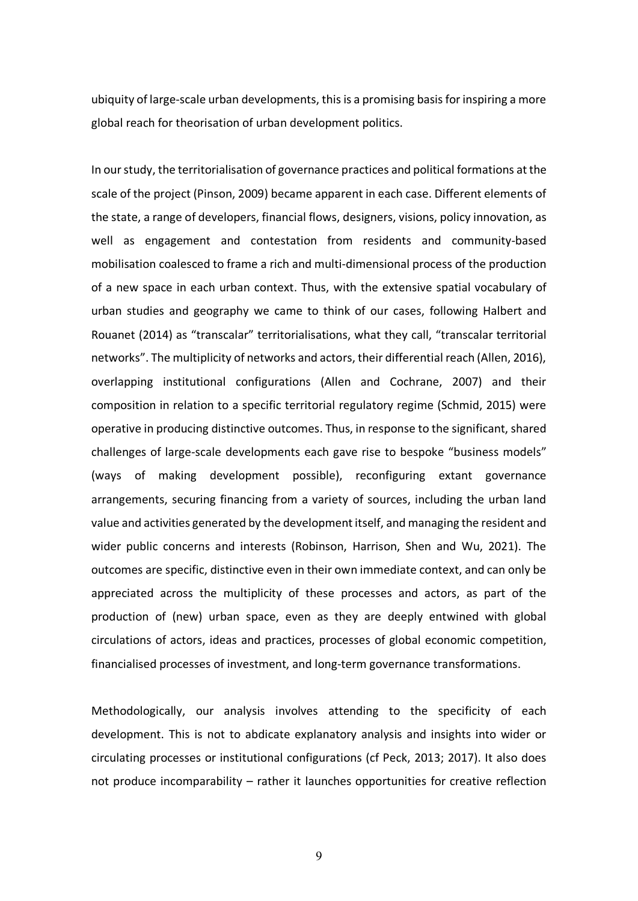ubiquity of large-scale urban developments, this is a promising basis for inspiring a more global reach for theorisation of urban development politics.

In our study, the territorialisation of governance practices and political formations at the scale of the project (Pinson, 2009) became apparent in each case. Different elements of the state, a range of developers, financial flows, designers, visions, policy innovation, as well as engagement and contestation from residents and community-based mobilisation coalesced to frame a rich and multi-dimensional process of the production of a new space in each urban context. Thus, with the extensive spatial vocabulary of urban studies and geography we came to think of our cases, following Halbert and Rouanet (2014) as "transcalar" territorialisations, what they call, "transcalar territorial networks". The multiplicity of networks and actors, their differential reach (Allen, 2016), overlapping institutional configurations (Allen and Cochrane, 2007) and their composition in relation to a specific territorial regulatory regime (Schmid, 2015) were operative in producing distinctive outcomes. Thus, in response to the significant, shared challenges of large-scale developments each gave rise to bespoke "business models" (ways of making development possible), reconfiguring extant governance arrangements, securing financing from a variety of sources, including the urban land value and activities generated by the development itself, and managing the resident and wider public concerns and interests (Robinson, Harrison, Shen and Wu, 2021). The outcomes are specific, distinctive even in their own immediate context, and can only be appreciated across the multiplicity of these processes and actors, as part of the production of (new) urban space, even as they are deeply entwined with global circulations of actors, ideas and practices, processes of global economic competition, financialised processes of investment, and long-term governance transformations.

Methodologically, our analysis involves attending to the specificity of each development. This is not to abdicate explanatory analysis and insights into wider or circulating processes or institutional configurations (cf Peck, 2013; 2017). It also does not produce incomparability – rather it launches opportunities for creative reflection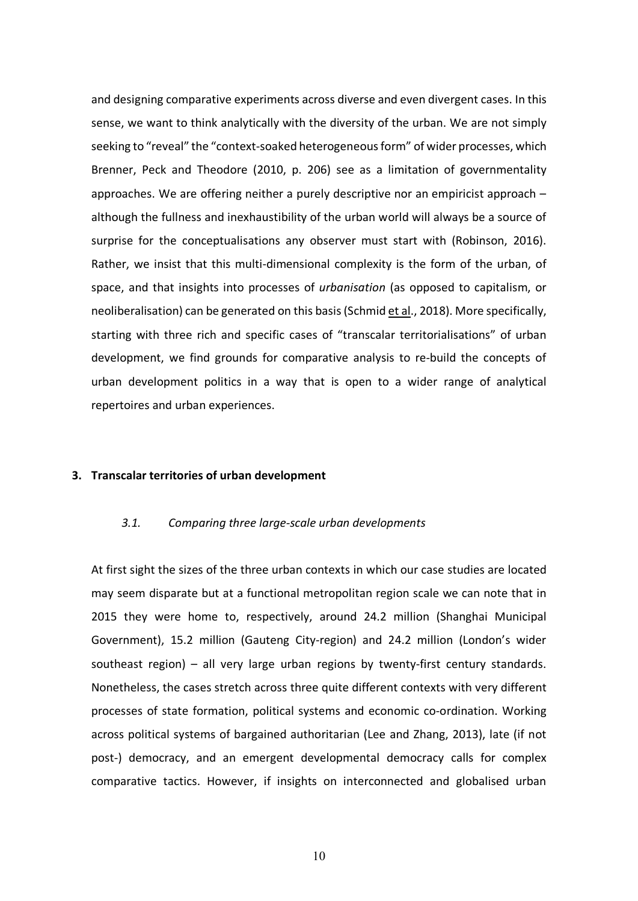and designing comparative experiments across diverse and even divergent cases. In this sense, we want to think analytically with the diversity of the urban. We are not simply seeking to "reveal" the "context-soaked heterogeneous form" of wider processes, which Brenner, Peck and Theodore (2010, p. 206) see as a limitation of governmentality approaches. We are offering neither a purely descriptive nor an empiricist approach – although the fullness and inexhaustibility of the urban world will always be a source of surprise for the conceptualisations any observer must start with (Robinson, 2016). Rather, we insist that this multi-dimensional complexity is the form of the urban, of space, and that insights into processes of *urbanisation* (as opposed to capitalism, or neoliberalisation) can be generated on this basis(Schmid et al., 2018). More specifically, starting with three rich and specific cases of "transcalar territorialisations" of urban development, we find grounds for comparative analysis to re-build the concepts of urban development politics in a way that is open to a wider range of analytical repertoires and urban experiences.

#### **3. Transcalar territories of urban development**

# *3.1. Comparing three large-scale urban developments*

At first sight the sizes of the three urban contexts in which our case studies are located may seem disparate but at a functional metropolitan region scale we can note that in 2015 they were home to, respectively, around 24.2 million (Shanghai Municipal Government), 15.2 million (Gauteng City-region) and 24.2 million (London's wider southeast region) – all very large urban regions by twenty-first century standards. Nonetheless, the cases stretch across three quite different contexts with very different processes of state formation, political systems and economic co-ordination. Working across political systems of bargained authoritarian (Lee and Zhang, 2013), late (if not post-) democracy, and an emergent developmental democracy calls for complex comparative tactics. However, if insights on interconnected and globalised urban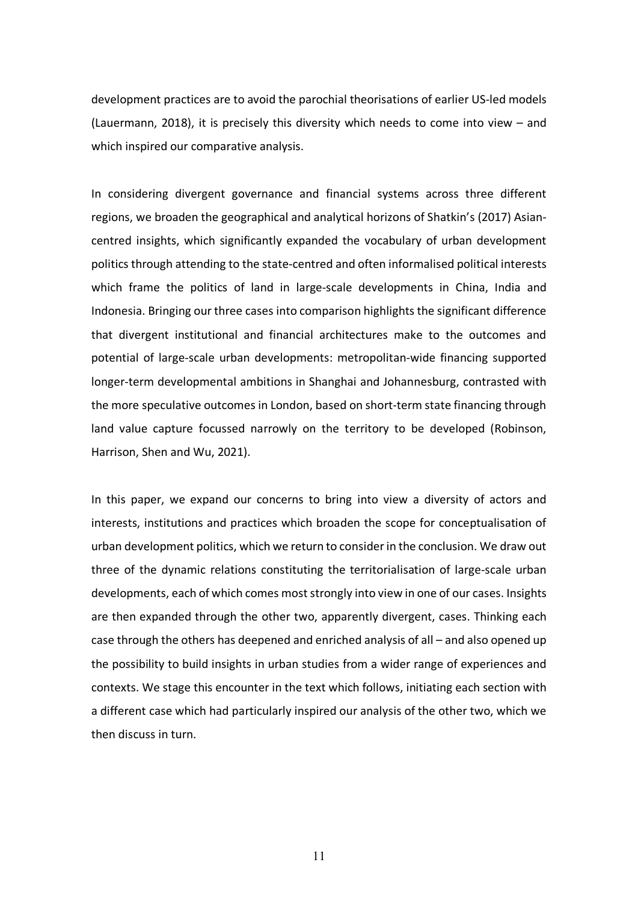development practices are to avoid the parochial theorisations of earlier US-led models (Lauermann, 2018), it is precisely this diversity which needs to come into view – and which inspired our comparative analysis.

In considering divergent governance and financial systems across three different regions, we broaden the geographical and analytical horizons of Shatkin's (2017) Asiancentred insights, which significantly expanded the vocabulary of urban development politics through attending to the state-centred and often informalised political interests which frame the politics of land in large-scale developments in China, India and Indonesia. Bringing our three cases into comparison highlights the significant difference that divergent institutional and financial architectures make to the outcomes and potential of large-scale urban developments: metropolitan-wide financing supported longer-term developmental ambitions in Shanghai and Johannesburg, contrasted with the more speculative outcomes in London, based on short-term state financing through land value capture focussed narrowly on the territory to be developed (Robinson, Harrison, Shen and Wu, 2021).

In this paper, we expand our concerns to bring into view a diversity of actors and interests, institutions and practices which broaden the scope for conceptualisation of urban development politics, which we return to consider in the conclusion. We draw out three of the dynamic relations constituting the territorialisation of large-scale urban developments, each of which comes most strongly into view in one of our cases. Insights are then expanded through the other two, apparently divergent, cases. Thinking each case through the others has deepened and enriched analysis of all – and also opened up the possibility to build insights in urban studies from a wider range of experiences and contexts. We stage this encounter in the text which follows, initiating each section with a different case which had particularly inspired our analysis of the other two, which we then discuss in turn.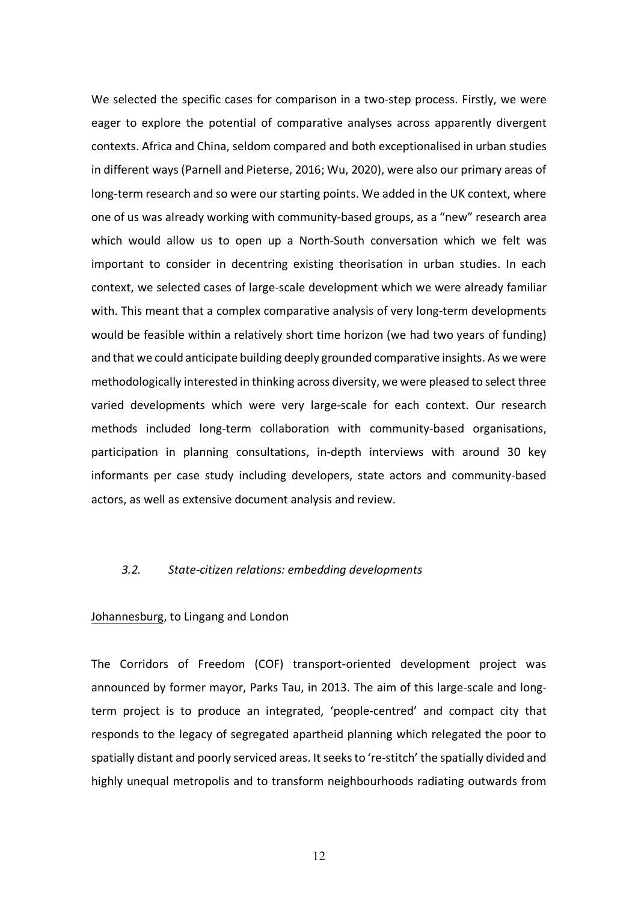We selected the specific cases for comparison in a two-step process. Firstly, we were eager to explore the potential of comparative analyses across apparently divergent contexts. Africa and China, seldom compared and both exceptionalised in urban studies in different ways (Parnell and Pieterse, 2016; Wu, 2020), were also our primary areas of long-term research and so were our starting points. We added in the UK context, where one of us was already working with community-based groups, as a "new" research area which would allow us to open up a North-South conversation which we felt was important to consider in decentring existing theorisation in urban studies. In each context, we selected cases of large-scale development which we were already familiar with. This meant that a complex comparative analysis of very long-term developments would be feasible within a relatively short time horizon (we had two years of funding) and that we could anticipate building deeply grounded comparative insights. As we were methodologically interested in thinking across diversity, we were pleased to select three varied developments which were very large-scale for each context. Our research methods included long-term collaboration with community-based organisations, participation in planning consultations, in-depth interviews with around 30 key informants per case study including developers, state actors and community-based actors, as well as extensive document analysis and review.

# *3.2. State-citizen relations: embedding developments*

### Johannesburg, to Lingang and London

The Corridors of Freedom (COF) transport-oriented development project was announced by former mayor, Parks Tau, in 2013. The aim of this large-scale and longterm project is to produce an integrated, 'people-centred' and compact city that responds to the legacy of segregated apartheid planning which relegated the poor to spatially distant and poorly serviced areas. It seeks to 're-stitch' the spatially divided and highly unequal metropolis and to transform neighbourhoods radiating outwards from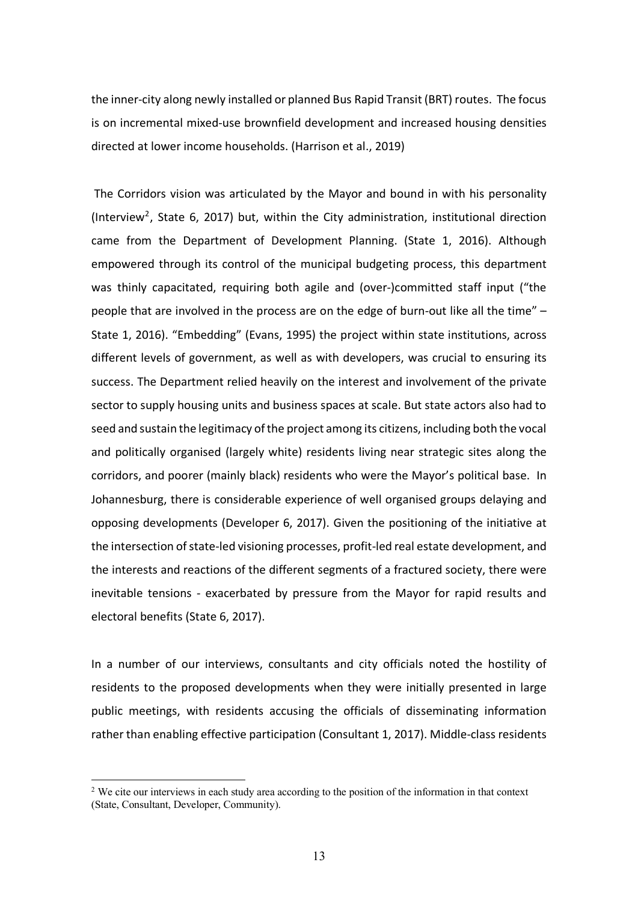the inner-city along newly installed or planned Bus Rapid Transit (BRT) routes. The focus is on incremental mixed-use brownfield development and increased housing densities directed at lower income households. (Harrison et al., 2019)

The Corridors vision was articulated by the Mayor and bound in with his personality (Interview<sup>2</sup>, State 6, 2017) but, within the City administration, institutional direction came from the Department of Development Planning. (State 1, 2016). Although empowered through its control of the municipal budgeting process, this department was thinly capacitated, requiring both agile and (over-)committed staff input ("the people that are involved in the process are on the edge of burn-out like all the time" – State 1, 2016). "Embedding" (Evans, 1995) the project within state institutions, across different levels of government, as well as with developers, was crucial to ensuring its success. The Department relied heavily on the interest and involvement of the private sector to supply housing units and business spaces at scale. But state actors also had to seed and sustain the legitimacy of the project among its citizens, including both the vocal and politically organised (largely white) residents living near strategic sites along the corridors, and poorer (mainly black) residents who were the Mayor's political base. In Johannesburg, there is considerable experience of well organised groups delaying and opposing developments (Developer 6, 2017). Given the positioning of the initiative at the intersection of state-led visioning processes, profit-led real estate development, and the interests and reactions of the different segments of a fractured society, there were inevitable tensions - exacerbated by pressure from the Mayor for rapid results and electoral benefits (State 6, 2017).

In a number of our interviews, consultants and city officials noted the hostility of residents to the proposed developments when they were initially presented in large public meetings, with residents accusing the officials of disseminating information rather than enabling effective participation (Consultant 1, 2017). Middle-class residents

<sup>&</sup>lt;sup>2</sup> We cite our interviews in each study area according to the position of the information in that context (State, Consultant, Developer, Community).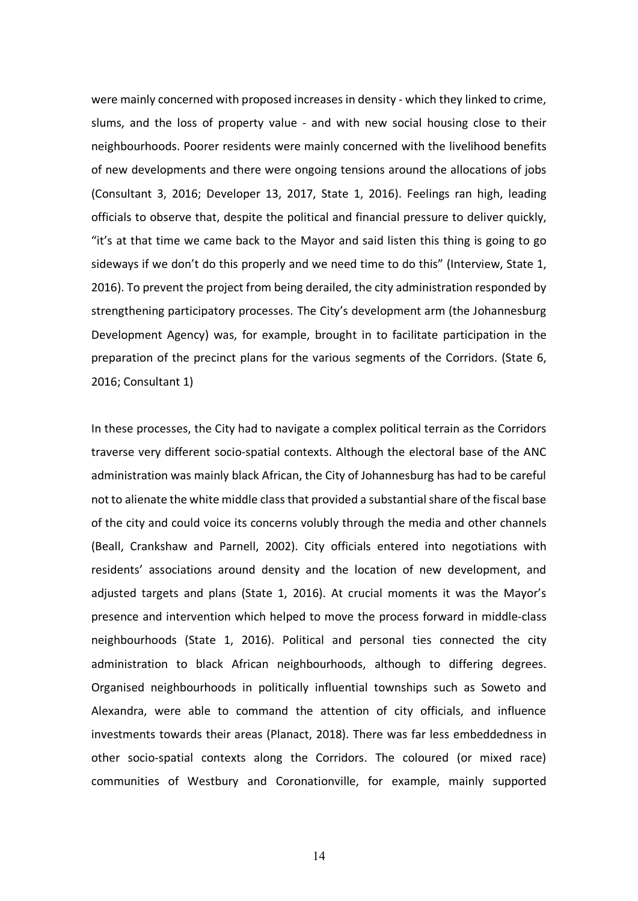were mainly concerned with proposed increases in density - which they linked to crime, slums, and the loss of property value - and with new social housing close to their neighbourhoods. Poorer residents were mainly concerned with the livelihood benefits of new developments and there were ongoing tensions around the allocations of jobs (Consultant 3, 2016; Developer 13, 2017, State 1, 2016). Feelings ran high, leading officials to observe that, despite the political and financial pressure to deliver quickly, "it's at that time we came back to the Mayor and said listen this thing is going to go sideways if we don't do this properly and we need time to do this" (Interview, State 1, 2016). To prevent the project from being derailed, the city administration responded by strengthening participatory processes. The City's development arm (the Johannesburg Development Agency) was, for example, brought in to facilitate participation in the preparation of the precinct plans for the various segments of the Corridors. (State 6, 2016; Consultant 1)

In these processes, the City had to navigate a complex political terrain as the Corridors traverse very different socio-spatial contexts. Although the electoral base of the ANC administration was mainly black African, the City of Johannesburg has had to be careful not to alienate the white middle class that provided a substantial share of the fiscal base of the city and could voice its concerns volubly through the media and other channels (Beall, Crankshaw and Parnell, 2002). City officials entered into negotiations with residents' associations around density and the location of new development, and adjusted targets and plans (State 1, 2016). At crucial moments it was the Mayor's presence and intervention which helped to move the process forward in middle-class neighbourhoods (State 1, 2016). Political and personal ties connected the city administration to black African neighbourhoods, although to differing degrees. Organised neighbourhoods in politically influential townships such as Soweto and Alexandra, were able to command the attention of city officials, and influence investments towards their areas (Planact, 2018). There was far less embeddedness in other socio-spatial contexts along the Corridors. The coloured (or mixed race) communities of Westbury and Coronationville, for example, mainly supported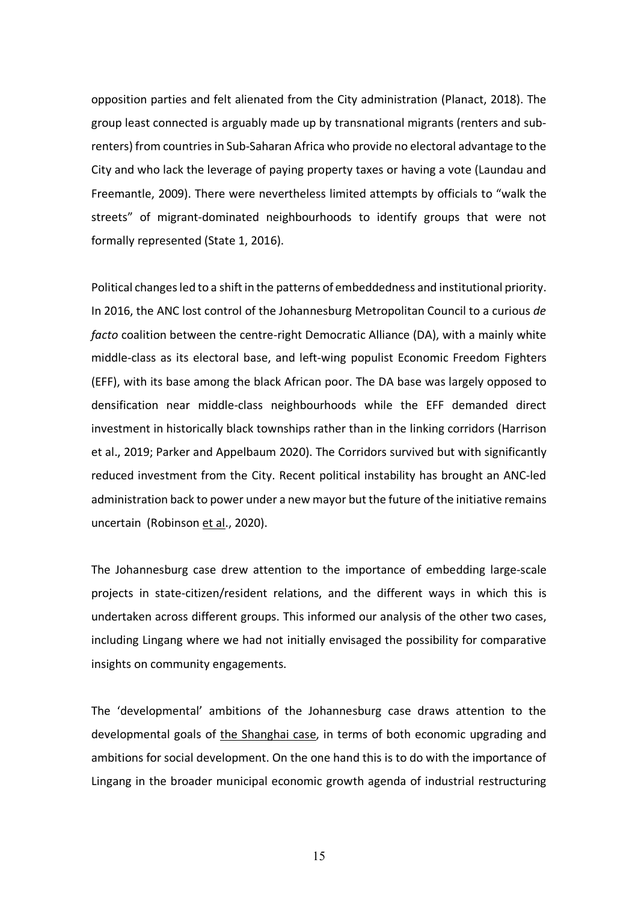opposition parties and felt alienated from the City administration (Planact, 2018). The group least connected is arguably made up by transnational migrants (renters and subrenters) from countries in Sub-Saharan Africa who provide no electoral advantage to the City and who lack the leverage of paying property taxes or having a vote (Laundau and Freemantle, 2009). There were nevertheless limited attempts by officials to "walk the streets" of migrant-dominated neighbourhoods to identify groups that were not formally represented (State 1, 2016).

Political changes led to a shift in the patterns of embeddedness and institutional priority. In 2016, the ANC lost control of the Johannesburg Metropolitan Council to a curious *de facto* coalition between the centre-right Democratic Alliance (DA), with a mainly white middle-class as its electoral base, and left-wing populist Economic Freedom Fighters (EFF), with its base among the black African poor. The DA base was largely opposed to densification near middle-class neighbourhoods while the EFF demanded direct investment in historically black townships rather than in the linking corridors (Harrison et al., 2019; Parker and Appelbaum 2020). The Corridors survived but with significantly reduced investment from the City. Recent political instability has brought an ANC-led administration back to power under a new mayor but the future of the initiative remains uncertain (Robinson et al., 2020).

The Johannesburg case drew attention to the importance of embedding large-scale projects in state-citizen/resident relations, and the different ways in which this is undertaken across different groups. This informed our analysis of the other two cases, including Lingang where we had not initially envisaged the possibility for comparative insights on community engagements.

The 'developmental' ambitions of the Johannesburg case draws attention to the developmental goals of the Shanghai case, in terms of both economic upgrading and ambitions for social development. On the one hand this is to do with the importance of Lingang in the broader municipal economic growth agenda of industrial restructuring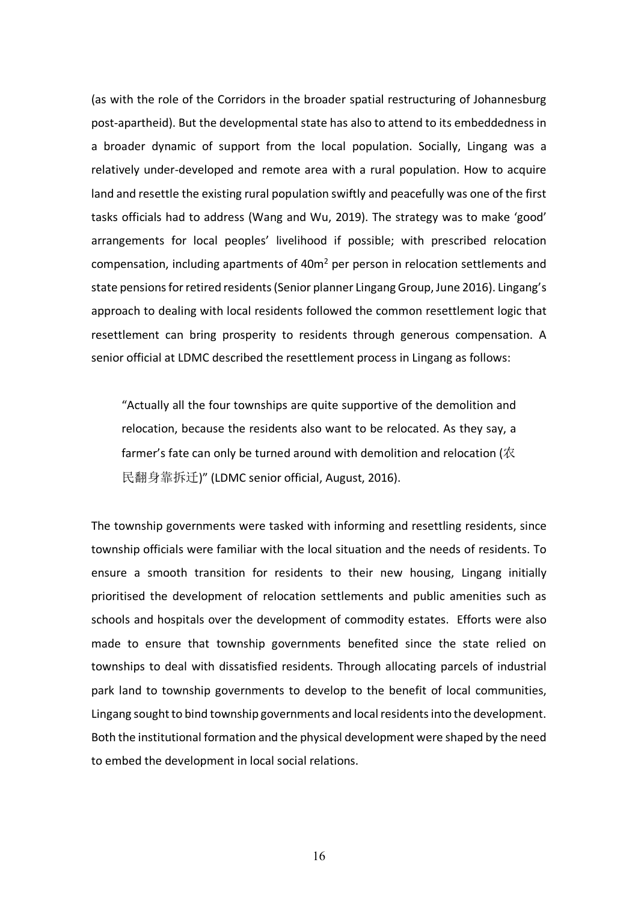(as with the role of the Corridors in the broader spatial restructuring of Johannesburg post-apartheid). But the developmental state has also to attend to its embeddedness in a broader dynamic of support from the local population. Socially, Lingang was a relatively under-developed and remote area with a rural population. How to acquire land and resettle the existing rural population swiftly and peacefully was one of the first tasks officials had to address (Wang and Wu, 2019). The strategy was to make 'good' arrangements for local peoples' livelihood if possible; with prescribed relocation compensation, including apartments of 40m<sup>2</sup> per person in relocation settlements and state pensions for retired residents (Senior planner Lingang Group, June 2016). Lingang's approach to dealing with local residents followed the common resettlement logic that resettlement can bring prosperity to residents through generous compensation. A senior official at LDMC described the resettlement process in Lingang as follows:

"Actually all the four townships are quite supportive of the demolition and relocation, because the residents also want to be relocated. As they say, a farmer's fate can only be turned around with demolition and relocation (农 民翻身靠拆迁)" (LDMC senior official, August, 2016).

The township governments were tasked with informing and resettling residents, since township officials were familiar with the local situation and the needs of residents. To ensure a smooth transition for residents to their new housing, Lingang initially prioritised the development of relocation settlements and public amenities such as schools and hospitals over the development of commodity estates. Efforts were also made to ensure that township governments benefited since the state relied on townships to deal with dissatisfied residents. Through allocating parcels of industrial park land to township governments to develop to the benefit of local communities, Lingang sought to bind township governments and local residents into the development. Both the institutional formation and the physical development were shaped by the need to embed the development in local social relations.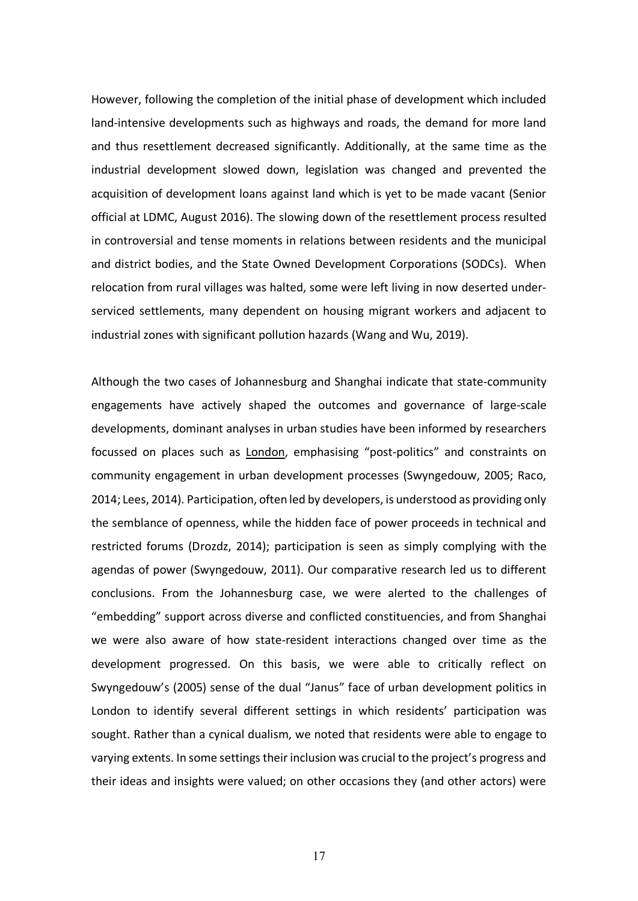However, following the completion of the initial phase of development which included land-intensive developments such as highways and roads, the demand for more land and thus resettlement decreased significantly. Additionally, at the same time as the industrial development slowed down, legislation was changed and prevented the acquisition of development loans against land which is yet to be made vacant (Senior official at LDMC, August 2016). The slowing down of the resettlement process resulted in controversial and tense moments in relations between residents and the municipal and district bodies, and the State Owned Development Corporations (SODCs). When relocation from rural villages was halted, some were left living in now deserted underserviced settlements, many dependent on housing migrant workers and adjacent to industrial zones with significant pollution hazards (Wang and Wu, 2019).

Although the two cases of Johannesburg and Shanghai indicate that state-community engagements have actively shaped the outcomes and governance of large-scale developments, dominant analyses in urban studies have been informed by researchers focussed on places such as London, emphasising "post-politics" and constraints on community engagement in urban development processes (Swyngedouw, 2005; Raco, 2014; Lees, 2014). Participation, often led by developers, is understood as providing only the semblance of openness, while the hidden face of power proceeds in technical and restricted forums (Drozdz, 2014); participation is seen as simply complying with the agendas of power (Swyngedouw, 2011). Our comparative research led us to different conclusions. From the Johannesburg case, we were alerted to the challenges of "embedding" support across diverse and conflicted constituencies, and from Shanghai we were also aware of how state-resident interactions changed over time as the development progressed. On this basis, we were able to critically reflect on Swyngedouw's (2005) sense of the dual "Janus" face of urban development politics in London to identify several different settings in which residents' participation was sought. Rather than a cynical dualism, we noted that residents were able to engage to varying extents. In some settings their inclusion was crucial to the project's progress and their ideas and insights were valued; on other occasions they (and other actors) were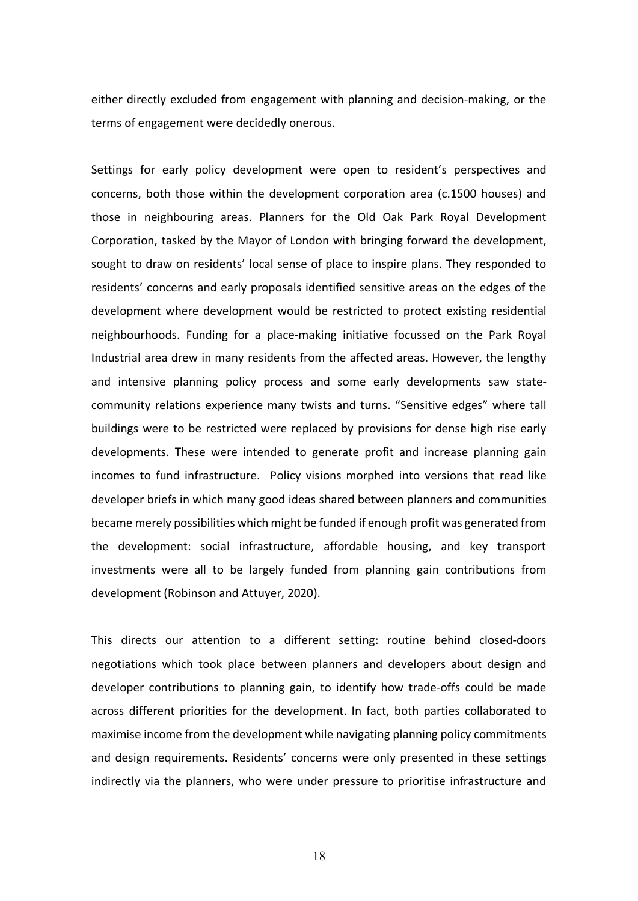either directly excluded from engagement with planning and decision-making, or the terms of engagement were decidedly onerous.

Settings for early policy development were open to resident's perspectives and concerns, both those within the development corporation area (c.1500 houses) and those in neighbouring areas. Planners for the Old Oak Park Royal Development Corporation, tasked by the Mayor of London with bringing forward the development, sought to draw on residents' local sense of place to inspire plans. They responded to residents' concerns and early proposals identified sensitive areas on the edges of the development where development would be restricted to protect existing residential neighbourhoods. Funding for a place-making initiative focussed on the Park Royal Industrial area drew in many residents from the affected areas. However, the lengthy and intensive planning policy process and some early developments saw statecommunity relations experience many twists and turns. "Sensitive edges" where tall buildings were to be restricted were replaced by provisions for dense high rise early developments. These were intended to generate profit and increase planning gain incomes to fund infrastructure. Policy visions morphed into versions that read like developer briefs in which many good ideas shared between planners and communities became merely possibilities which might be funded if enough profit was generated from the development: social infrastructure, affordable housing, and key transport investments were all to be largely funded from planning gain contributions from development (Robinson and Attuyer, 2020).

This directs our attention to a different setting: routine behind closed-doors negotiations which took place between planners and developers about design and developer contributions to planning gain, to identify how trade-offs could be made across different priorities for the development. In fact, both parties collaborated to maximise income from the development while navigating planning policy commitments and design requirements. Residents' concerns were only presented in these settings indirectly via the planners, who were under pressure to prioritise infrastructure and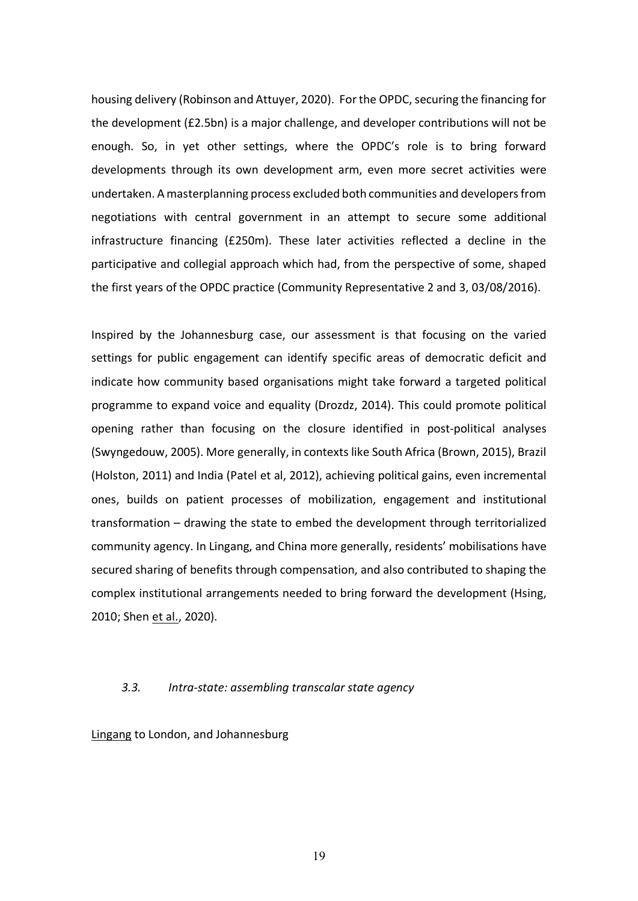housing delivery (Robinson and Attuyer, 2020). For the OPDC, securing the financing for the development (£2.5bn) is a major challenge, and developer contributions will not be enough. So, in yet other settings, where the OPDC's role is to bring forward developments through its own development arm, even more secret activities were undertaken. A masterplanning process excluded both communities and developers from negotiations with central government in an attempt to secure some additional infrastructure financing (£250m). These later activities reflected a decline in the participative and collegial approach which had, from the perspective of some, shaped the first years of the OPDC practice (Community Representative 2 and 3, 03/08/2016).

Inspired by the Johannesburg case, our assessment is that focusing on the varied settings for public engagement can identify specific areas of democratic deficit and indicate how community based organisations might take forward a targeted political programme to expand voice and equality (Drozdz, 2014). This could promote political opening rather than focusing on the closure identified in post-political analyses (Swyngedouw, 2005). More generally, in contexts like South Africa (Brown, 2015), Brazil (Holston, 2011) and India (Patel et al, 2012), achieving political gains, even incremental ones, builds on patient processes of mobilization, engagement and institutional transformation – drawing the state to embed the development through territorialized community agency. In Lingang, and China more generally, residents' mobilisations have secured sharing of benefits through compensation, and also contributed to shaping the complex institutional arrangements needed to bring forward the development (Hsing, 2010; Shen et al., 2020).

#### *3.3. Intra-state: assembling transcalar state agency*

Lingang to London, and Johannesburg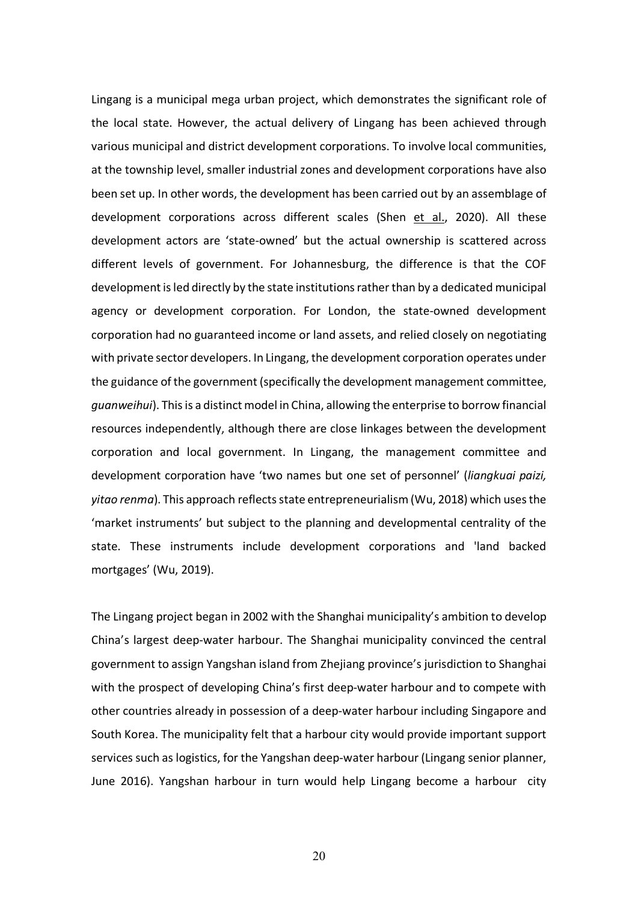Lingang is a municipal mega urban project, which demonstrates the significant role of the local state. However, the actual delivery of Lingang has been achieved through various municipal and district development corporations. To involve local communities, at the township level, smaller industrial zones and development corporations have also been set up. In other words, the development has been carried out by an assemblage of development corporations across different scales (Shen et al., 2020). All these development actors are 'state-owned' but the actual ownership is scattered across different levels of government. For Johannesburg, the difference is that the COF development is led directly by the state institutions rather than by a dedicated municipal agency or development corporation. For London, the state-owned development corporation had no guaranteed income or land assets, and relied closely on negotiating with private sector developers. In Lingang, the development corporation operates under the guidance of the government (specifically the development management committee, *guanweihui*). This is a distinct model in China, allowing the enterprise to borrow financial resources independently, although there are close linkages between the development corporation and local government. In Lingang, the management committee and development corporation have 'two names but one set of personnel' (*liangkuai paizi, yitao renma*). This approach reflects state entrepreneurialism (Wu, 2018) which uses the 'market instruments' but subject to the planning and developmental centrality of the state. These instruments include development corporations and 'land backed mortgages' (Wu, 2019).

The Lingang project began in 2002 with the Shanghai municipality's ambition to develop China's largest deep-water harbour. The Shanghai municipality convinced the central government to assign Yangshan island from Zhejiang province's jurisdiction to Shanghai with the prospect of developing China's first deep-water harbour and to compete with other countries already in possession of a deep-water harbour including Singapore and South Korea. The municipality felt that a harbour city would provide important support services such as logistics, for the Yangshan deep-water harbour (Lingang senior planner, June 2016). Yangshan harbour in turn would help Lingang become a harbour city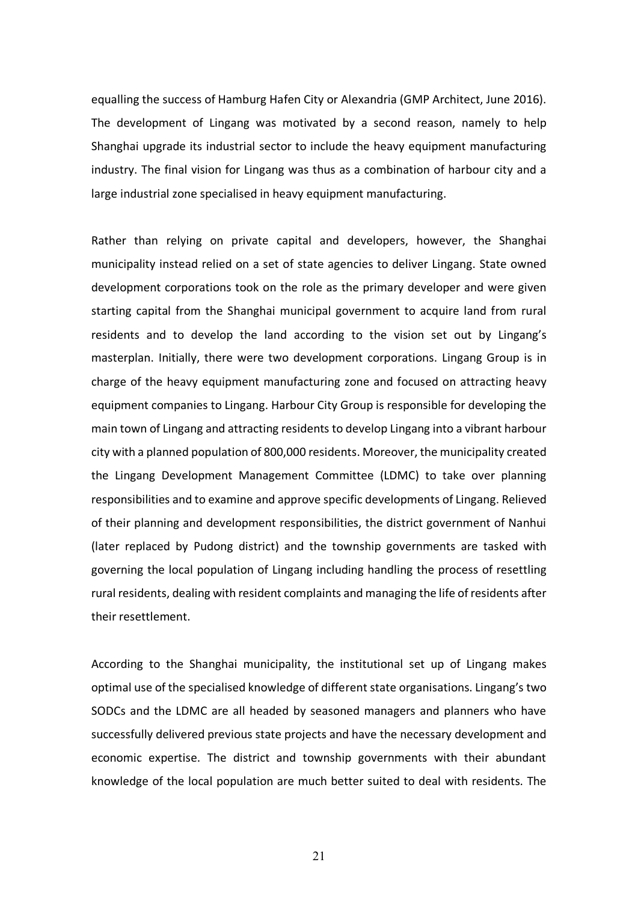equalling the success of Hamburg Hafen City or Alexandria (GMP Architect, June 2016). The development of Lingang was motivated by a second reason, namely to help Shanghai upgrade its industrial sector to include the heavy equipment manufacturing industry. The final vision for Lingang was thus as a combination of harbour city and a large industrial zone specialised in heavy equipment manufacturing.

Rather than relying on private capital and developers, however, the Shanghai municipality instead relied on a set of state agencies to deliver Lingang. State owned development corporations took on the role as the primary developer and were given starting capital from the Shanghai municipal government to acquire land from rural residents and to develop the land according to the vision set out by Lingang's masterplan. Initially, there were two development corporations. Lingang Group is in charge of the heavy equipment manufacturing zone and focused on attracting heavy equipment companies to Lingang. Harbour City Group is responsible for developing the main town of Lingang and attracting residents to develop Lingang into a vibrant harbour city with a planned population of 800,000 residents. Moreover, the municipality created the Lingang Development Management Committee (LDMC) to take over planning responsibilities and to examine and approve specific developments of Lingang. Relieved of their planning and development responsibilities, the district government of Nanhui (later replaced by Pudong district) and the township governments are tasked with governing the local population of Lingang including handling the process of resettling rural residents, dealing with resident complaints and managing the life of residents after their resettlement.

According to the Shanghai municipality, the institutional set up of Lingang makes optimal use of the specialised knowledge of different state organisations. Lingang's two SODCs and the LDMC are all headed by seasoned managers and planners who have successfully delivered previous state projects and have the necessary development and economic expertise. The district and township governments with their abundant knowledge of the local population are much better suited to deal with residents. The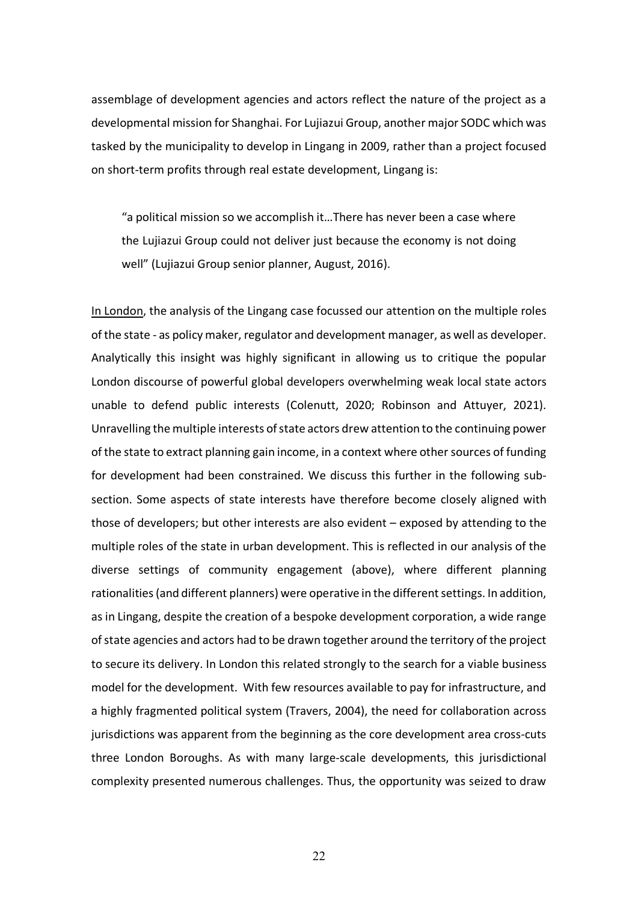assemblage of development agencies and actors reflect the nature of the project as a developmental mission for Shanghai. For Lujiazui Group, another major SODC which was tasked by the municipality to develop in Lingang in 2009, rather than a project focused on short-term profits through real estate development, Lingang is:

"a political mission so we accomplish it…There has never been a case where the Lujiazui Group could not deliver just because the economy is not doing well" (Lujiazui Group senior planner, August, 2016).

In London, the analysis of the Lingang case focussed our attention on the multiple roles of the state - as policy maker, regulator and development manager, as well as developer. Analytically this insight was highly significant in allowing us to critique the popular London discourse of powerful global developers overwhelming weak local state actors unable to defend public interests (Colenutt, 2020; Robinson and Attuyer, 2021). Unravelling the multiple interests of state actors drew attention to the continuing power of the state to extract planning gain income, in a context where other sources of funding for development had been constrained. We discuss this further in the following subsection. Some aspects of state interests have therefore become closely aligned with those of developers; but other interests are also evident – exposed by attending to the multiple roles of the state in urban development. This is reflected in our analysis of the diverse settings of community engagement (above), where different planning rationalities (and different planners) were operative in the different settings. In addition, as in Lingang, despite the creation of a bespoke development corporation, a wide range of state agencies and actors had to be drawn together around the territory of the project to secure its delivery. In London this related strongly to the search for a viable business model for the development. With few resources available to pay for infrastructure, and a highly fragmented political system (Travers, 2004), the need for collaboration across jurisdictions was apparent from the beginning as the core development area cross-cuts three London Boroughs. As with many large-scale developments, this jurisdictional complexity presented numerous challenges. Thus, the opportunity was seized to draw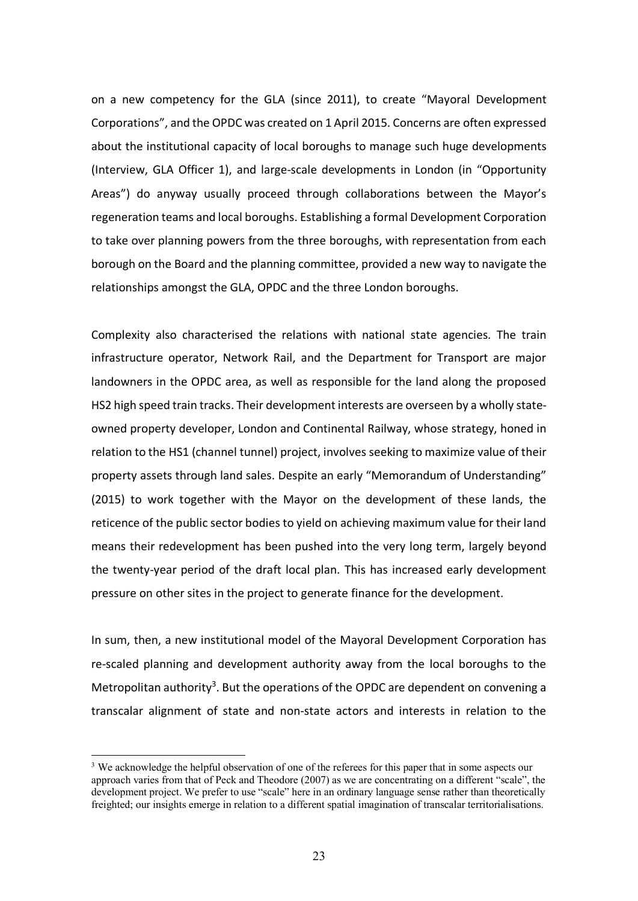on a new competency for the GLA (since 2011), to create "Mayoral Development Corporations", and the OPDC was created on 1 April 2015. Concerns are often expressed about the institutional capacity of local boroughs to manage such huge developments (Interview, GLA Officer 1), and large-scale developments in London (in "Opportunity Areas") do anyway usually proceed through collaborations between the Mayor's regeneration teams and local boroughs. Establishing a formal Development Corporation to take over planning powers from the three boroughs, with representation from each borough on the Board and the planning committee, provided a new way to navigate the relationships amongst the GLA, OPDC and the three London boroughs.

Complexity also characterised the relations with national state agencies. The train infrastructure operator, Network Rail, and the Department for Transport are major landowners in the OPDC area, as well as responsible for the land along the proposed HS2 high speed train tracks. Their development interests are overseen by a wholly stateowned property developer, London and Continental Railway, whose strategy, honed in relation to the HS1 (channel tunnel) project, involves seeking to maximize value of their property assets through land sales. Despite an early "Memorandum of Understanding" (2015) to work together with the Mayor on the development of these lands, the reticence of the public sector bodies to yield on achieving maximum value for their land means their redevelopment has been pushed into the very long term, largely beyond the twenty-year period of the draft local plan. This has increased early development pressure on other sites in the project to generate finance for the development.

In sum, then, a new institutional model of the Mayoral Development Corporation has re-scaled planning and development authority away from the local boroughs to the Metropolitan authority<sup>3</sup>. But the operations of the OPDC are dependent on convening a transcalar alignment of state and non-state actors and interests in relation to the

 $3$  We acknowledge the helpful observation of one of the referees for this paper that in some aspects our approach varies from that of Peck and Theodore (2007) as we are concentrating on a different "scale", the development project. We prefer to use "scale" here in an ordinary language sense rather than theoretically freighted; our insights emerge in relation to a different spatial imagination of transcalar territorialisations.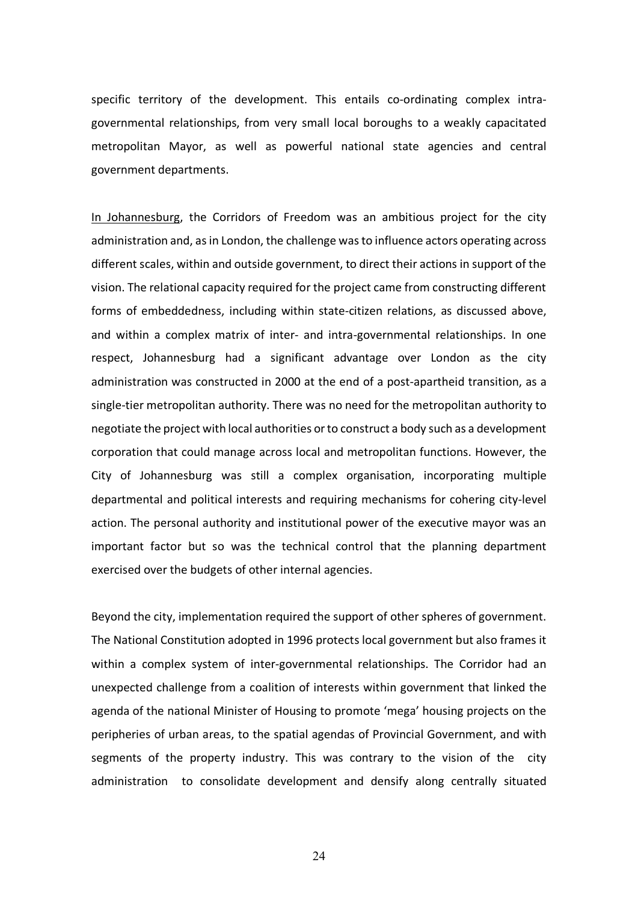specific territory of the development. This entails co-ordinating complex intragovernmental relationships, from very small local boroughs to a weakly capacitated metropolitan Mayor, as well as powerful national state agencies and central government departments.

In Johannesburg, the Corridors of Freedom was an ambitious project for the city administration and, as in London, the challenge was to influence actors operating across different scales, within and outside government, to direct their actions in support of the vision. The relational capacity required for the project came from constructing different forms of embeddedness, including within state-citizen relations, as discussed above, and within a complex matrix of inter- and intra-governmental relationships. In one respect, Johannesburg had a significant advantage over London as the city administration was constructed in 2000 at the end of a post-apartheid transition, as a single-tier metropolitan authority. There was no need for the metropolitan authority to negotiate the project with local authorities or to construct a body such as a development corporation that could manage across local and metropolitan functions. However, the City of Johannesburg was still a complex organisation, incorporating multiple departmental and political interests and requiring mechanisms for cohering city-level action. The personal authority and institutional power of the executive mayor was an important factor but so was the technical control that the planning department exercised over the budgets of other internal agencies.

Beyond the city, implementation required the support of other spheres of government. The National Constitution adopted in 1996 protects local government but also frames it within a complex system of inter-governmental relationships. The Corridor had an unexpected challenge from a coalition of interests within government that linked the agenda of the national Minister of Housing to promote 'mega' housing projects on the peripheries of urban areas, to the spatial agendas of Provincial Government, and with segments of the property industry. This was contrary to the vision of the city administration to consolidate development and densify along centrally situated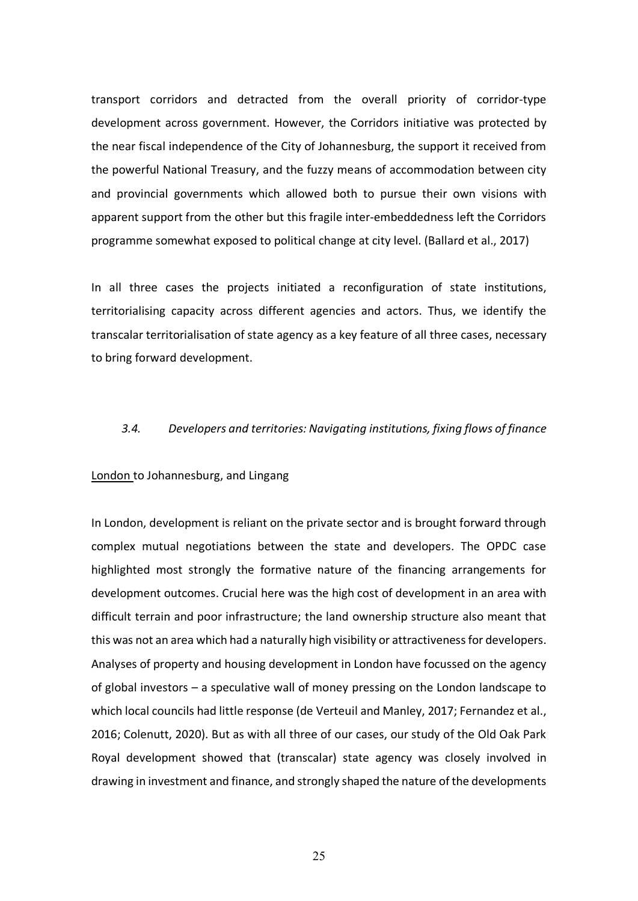transport corridors and detracted from the overall priority of corridor-type development across government. However, the Corridors initiative was protected by the near fiscal independence of the City of Johannesburg, the support it received from the powerful National Treasury, and the fuzzy means of accommodation between city and provincial governments which allowed both to pursue their own visions with apparent support from the other but this fragile inter-embeddedness left the Corridors programme somewhat exposed to political change at city level. (Ballard et al., 2017)

In all three cases the projects initiated a reconfiguration of state institutions, territorialising capacity across different agencies and actors. Thus, we identify the transcalar territorialisation of state agency as a key feature of all three cases, necessary to bring forward development.

# *3.4. Developers and territories: Navigating institutions, fixing flows of finance*

#### London to Johannesburg, and Lingang

In London, development is reliant on the private sector and is brought forward through complex mutual negotiations between the state and developers. The OPDC case highlighted most strongly the formative nature of the financing arrangements for development outcomes. Crucial here was the high cost of development in an area with difficult terrain and poor infrastructure; the land ownership structure also meant that this was not an area which had a naturally high visibility or attractiveness for developers. Analyses of property and housing development in London have focussed on the agency of global investors – a speculative wall of money pressing on the London landscape to which local councils had little response (de Verteuil and Manley, 2017; Fernandez et al., 2016; Colenutt, 2020). But as with all three of our cases, our study of the Old Oak Park Royal development showed that (transcalar) state agency was closely involved in drawing in investment and finance, and strongly shaped the nature of the developments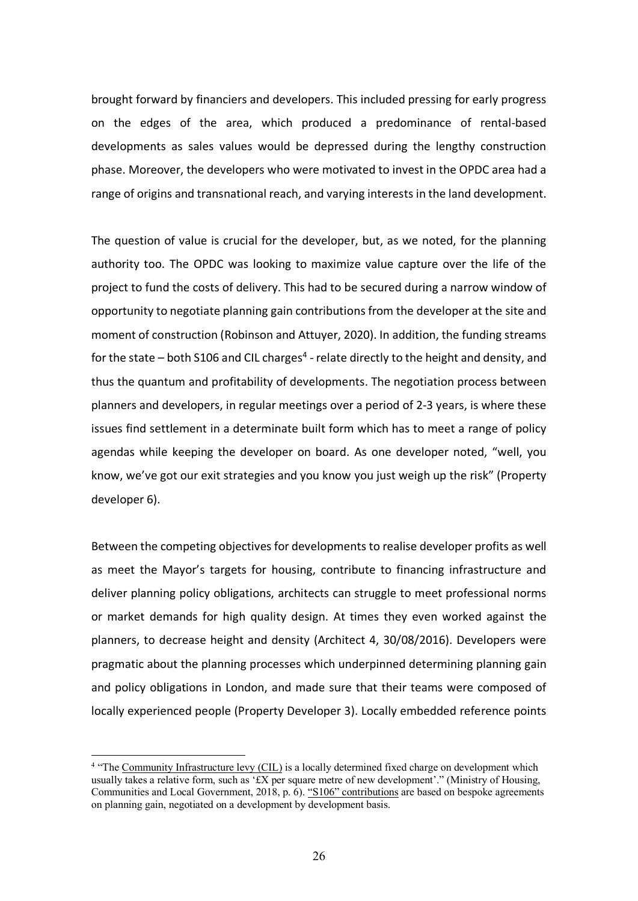brought forward by financiers and developers. This included pressing for early progress on the edges of the area, which produced a predominance of rental-based developments as sales values would be depressed during the lengthy construction phase. Moreover, the developers who were motivated to invest in the OPDC area had a range of origins and transnational reach, and varying interests in the land development.

The question of value is crucial for the developer, but, as we noted, for the planning authority too. The OPDC was looking to maximize value capture over the life of the project to fund the costs of delivery. This had to be secured during a narrow window of opportunity to negotiate planning gain contributions from the developer at the site and moment of construction (Robinson and Attuyer, 2020). In addition, the funding streams for the state – both S106 and CIL charges<sup>4</sup> - relate directly to the height and density, and thus the quantum and profitability of developments. The negotiation process between planners and developers, in regular meetings over a period of 2-3 years, is where these issues find settlement in a determinate built form which has to meet a range of policy agendas while keeping the developer on board. As one developer noted, "well, you know, we've got our exit strategies and you know you just weigh up the risk" (Property developer 6).

Between the competing objectives for developments to realise developer profits as well as meet the Mayor's targets for housing, contribute to financing infrastructure and deliver planning policy obligations, architects can struggle to meet professional norms or market demands for high quality design. At times they even worked against the planners, to decrease height and density (Architect 4, 30/08/2016). Developers were pragmatic about the planning processes which underpinned determining planning gain and policy obligations in London, and made sure that their teams were composed of locally experienced people (Property Developer 3). Locally embedded reference points

 <sup>4</sup> "The Community Infrastructure levy (CIL) is a locally determined fixed charge on development which usually takes a relative form, such as ' $EX$  per square metre of new development'." (Ministry of Housing, Communities and Local Government, 2018, p. 6). "S106" contributions are based on bespoke agreements on planning gain, negotiated on a development by development basis.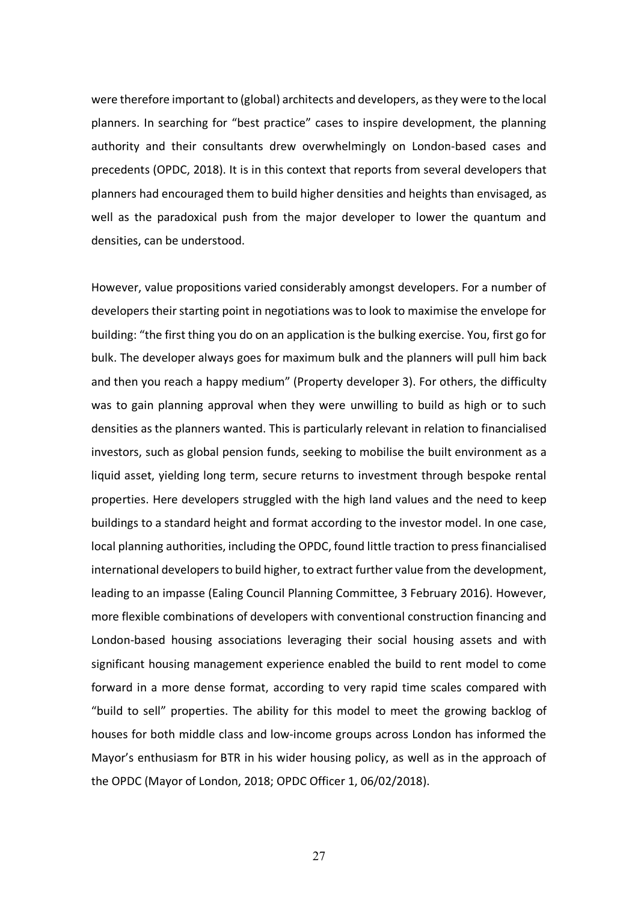were therefore important to (global) architects and developers, as they were to the local planners. In searching for "best practice" cases to inspire development, the planning authority and their consultants drew overwhelmingly on London-based cases and precedents (OPDC, 2018). It is in this context that reports from several developers that planners had encouraged them to build higher densities and heights than envisaged, as well as the paradoxical push from the major developer to lower the quantum and densities, can be understood.

However, value propositions varied considerably amongst developers. For a number of developers their starting point in negotiations was to look to maximise the envelope for building: "the first thing you do on an application is the bulking exercise. You, first go for bulk. The developer always goes for maximum bulk and the planners will pull him back and then you reach a happy medium" (Property developer 3). For others, the difficulty was to gain planning approval when they were unwilling to build as high or to such densities as the planners wanted. This is particularly relevant in relation to financialised investors, such as global pension funds, seeking to mobilise the built environment as a liquid asset, yielding long term, secure returns to investment through bespoke rental properties. Here developers struggled with the high land values and the need to keep buildings to a standard height and format according to the investor model. In one case, local planning authorities, including the OPDC, found little traction to press financialised international developers to build higher, to extract further value from the development, leading to an impasse (Ealing Council Planning Committee, 3 February 2016). However, more flexible combinations of developers with conventional construction financing and London-based housing associations leveraging their social housing assets and with significant housing management experience enabled the build to rent model to come forward in a more dense format, according to very rapid time scales compared with "build to sell" properties. The ability for this model to meet the growing backlog of houses for both middle class and low-income groups across London has informed the Mayor's enthusiasm for BTR in his wider housing policy, as well as in the approach of the OPDC (Mayor of London, 2018; OPDC Officer 1, 06/02/2018).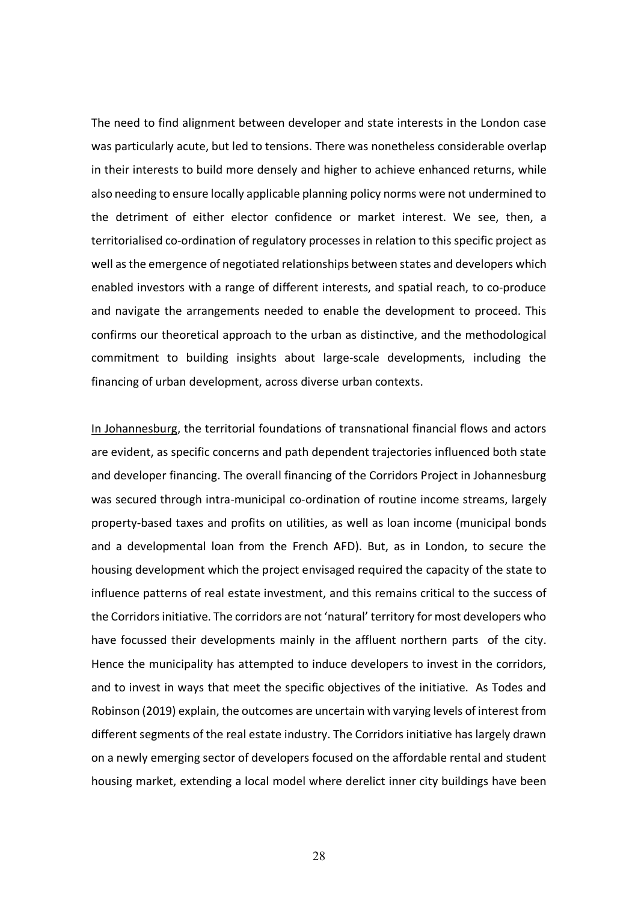The need to find alignment between developer and state interests in the London case was particularly acute, but led to tensions. There was nonetheless considerable overlap in their interests to build more densely and higher to achieve enhanced returns, while also needing to ensure locally applicable planning policy norms were not undermined to the detriment of either elector confidence or market interest. We see, then, a territorialised co-ordination of regulatory processes in relation to this specific project as well as the emergence of negotiated relationships between states and developers which enabled investors with a range of different interests, and spatial reach, to co-produce and navigate the arrangements needed to enable the development to proceed. This confirms our theoretical approach to the urban as distinctive, and the methodological commitment to building insights about large-scale developments, including the financing of urban development, across diverse urban contexts.

In Johannesburg, the territorial foundations of transnational financial flows and actors are evident, as specific concerns and path dependent trajectories influenced both state and developer financing. The overall financing of the Corridors Project in Johannesburg was secured through intra-municipal co-ordination of routine income streams, largely property-based taxes and profits on utilities, as well as loan income (municipal bonds and a developmental loan from the French AFD). But, as in London, to secure the housing development which the project envisaged required the capacity of the state to influence patterns of real estate investment, and this remains critical to the success of the Corridors initiative. The corridors are not 'natural' territory for most developers who have focussed their developments mainly in the affluent northern parts of the city. Hence the municipality has attempted to induce developers to invest in the corridors, and to invest in ways that meet the specific objectives of the initiative. As Todes and Robinson (2019) explain, the outcomes are uncertain with varying levels of interest from different segments of the real estate industry. The Corridors initiative has largely drawn on a newly emerging sector of developers focused on the affordable rental and student housing market, extending a local model where derelict inner city buildings have been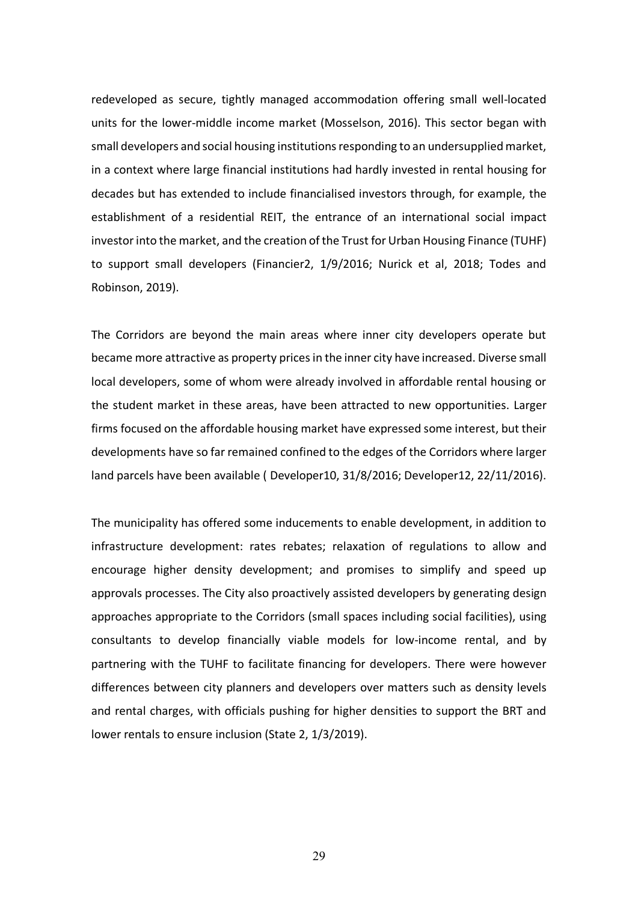redeveloped as secure, tightly managed accommodation offering small well-located units for the lower-middle income market (Mosselson, 2016). This sector began with small developers and social housing institutions responding to an undersupplied market, in a context where large financial institutions had hardly invested in rental housing for decades but has extended to include financialised investors through, for example, the establishment of a residential REIT, the entrance of an international social impact investor into the market, and the creation of the Trust for Urban Housing Finance (TUHF) to support small developers (Financier2, 1/9/2016; Nurick et al, 2018; Todes and Robinson, 2019).

The Corridors are beyond the main areas where inner city developers operate but became more attractive as property prices in the inner city have increased. Diverse small local developers, some of whom were already involved in affordable rental housing or the student market in these areas, have been attracted to new opportunities. Larger firms focused on the affordable housing market have expressed some interest, but their developments have so far remained confined to the edges of the Corridors where larger land parcels have been available ( Developer10, 31/8/2016; Developer12, 22/11/2016).

The municipality has offered some inducements to enable development, in addition to infrastructure development: rates rebates; relaxation of regulations to allow and encourage higher density development; and promises to simplify and speed up approvals processes. The City also proactively assisted developers by generating design approaches appropriate to the Corridors (small spaces including social facilities), using consultants to develop financially viable models for low-income rental, and by partnering with the TUHF to facilitate financing for developers. There were however differences between city planners and developers over matters such as density levels and rental charges, with officials pushing for higher densities to support the BRT and lower rentals to ensure inclusion (State 2, 1/3/2019).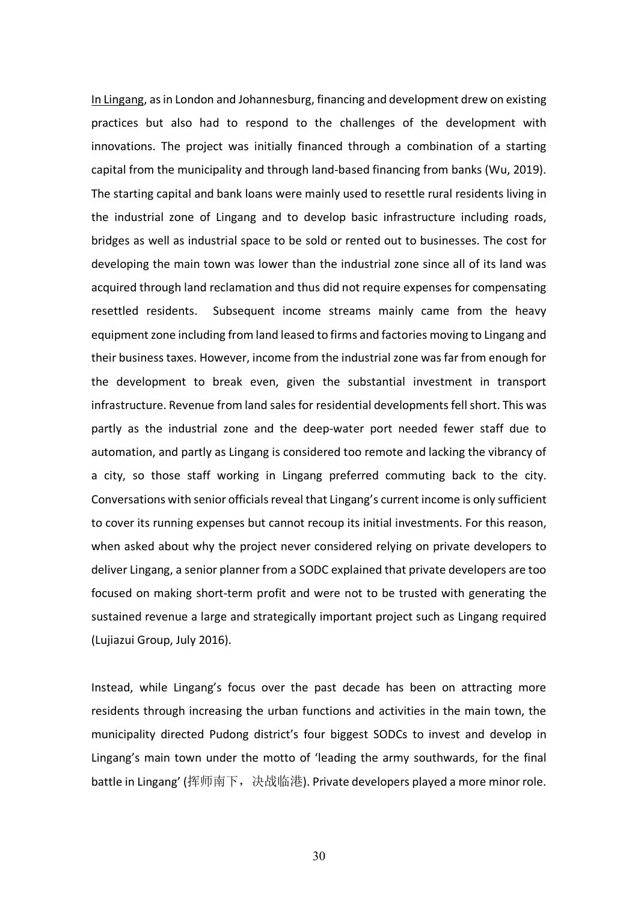In Lingang, as in London and Johannesburg, financing and development drew on existing practices but also had to respond to the challenges of the development with innovations. The project was initially financed through a combination of a starting capital from the municipality and through land-based financing from banks (Wu, 2019). The starting capital and bank loans were mainly used to resettle rural residents living in the industrial zone of Lingang and to develop basic infrastructure including roads, bridges as well as industrial space to be sold or rented out to businesses. The cost for developing the main town was lower than the industrial zone since all of its land was acquired through land reclamation and thus did not require expenses for compensating resettled residents. Subsequent income streams mainly came from the heavy equipment zone including from land leased to firms and factories moving to Lingang and their business taxes. However, income from the industrial zone was far from enough for the development to break even, given the substantial investment in transport infrastructure. Revenue from land sales for residential developments fell short. This was partly as the industrial zone and the deep-water port needed fewer staff due to automation, and partly as Lingang is considered too remote and lacking the vibrancy of a city, so those staff working in Lingang preferred commuting back to the city. Conversations with senior officials reveal that Lingang's current income is only sufficient to cover its running expenses but cannot recoup its initial investments. For this reason, when asked about why the project never considered relying on private developers to deliver Lingang, a senior planner from a SODC explained that private developers are too focused on making short-term profit and were not to be trusted with generating the sustained revenue a large and strategically important project such as Lingang required (Lujiazui Group, July 2016).

Instead, while Lingang's focus over the past decade has been on attracting more residents through increasing the urban functions and activities in the main town, the municipality directed Pudong district's four biggest SODCs to invest and develop in Lingang's main town under the motto of 'leading the army southwards, for the final battle in Lingang' (挥师南下, 决战临港). Private developers played a more minor role.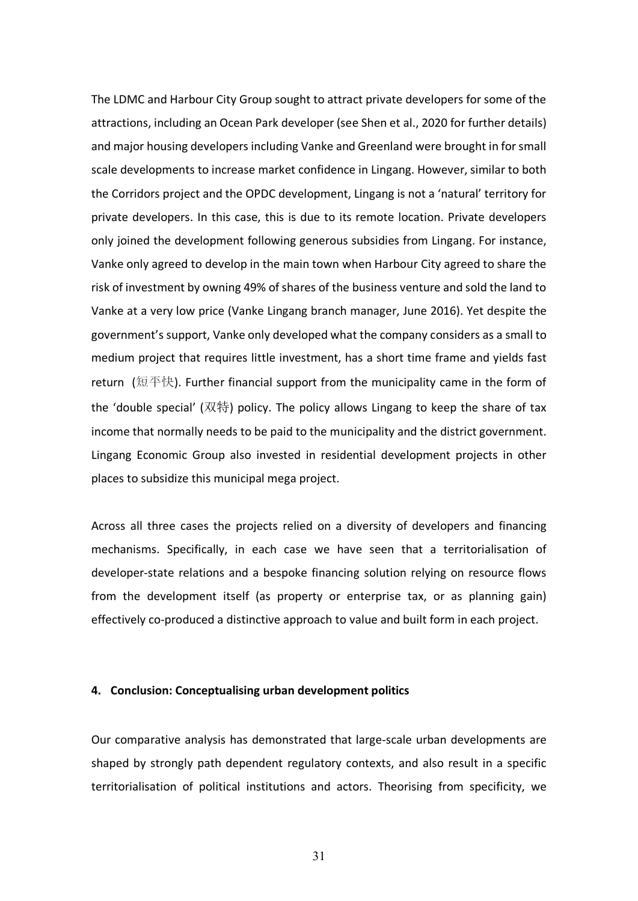The LDMC and Harbour City Group sought to attract private developers for some of the attractions, including an Ocean Park developer (see Shen et al., 2020 for further details) and major housing developers including Vanke and Greenland were brought in for small scale developments to increase market confidence in Lingang. However, similar to both the Corridors project and the OPDC development, Lingang is not a 'natural' territory for private developers. In this case, this is due to its remote location. Private developers only joined the development following generous subsidies from Lingang. For instance, Vanke only agreed to develop in the main town when Harbour City agreed to share the risk of investment by owning 49% of shares of the business venture and sold the land to Vanke at a very low price (Vanke Lingang branch manager, June 2016). Yet despite the government's support, Vanke only developed what the company considers as a small to medium project that requires little investment, has a short time frame and yields fast return (短平快). Further financial support from the municipality came in the form of the 'double special' (双特) policy. The policy allows Lingang to keep the share of tax income that normally needs to be paid to the municipality and the district government. Lingang Economic Group also invested in residential development projects in other places to subsidize this municipal mega project.

Across all three cases the projects relied on a diversity of developers and financing mechanisms. Specifically, in each case we have seen that a territorialisation of developer-state relations and a bespoke financing solution relying on resource flows from the development itself (as property or enterprise tax, or as planning gain) effectively co-produced a distinctive approach to value and built form in each project.

#### **4. Conclusion: Conceptualising urban development politics**

Our comparative analysis has demonstrated that large-scale urban developments are shaped by strongly path dependent regulatory contexts, and also result in a specific territorialisation of political institutions and actors. Theorising from specificity, we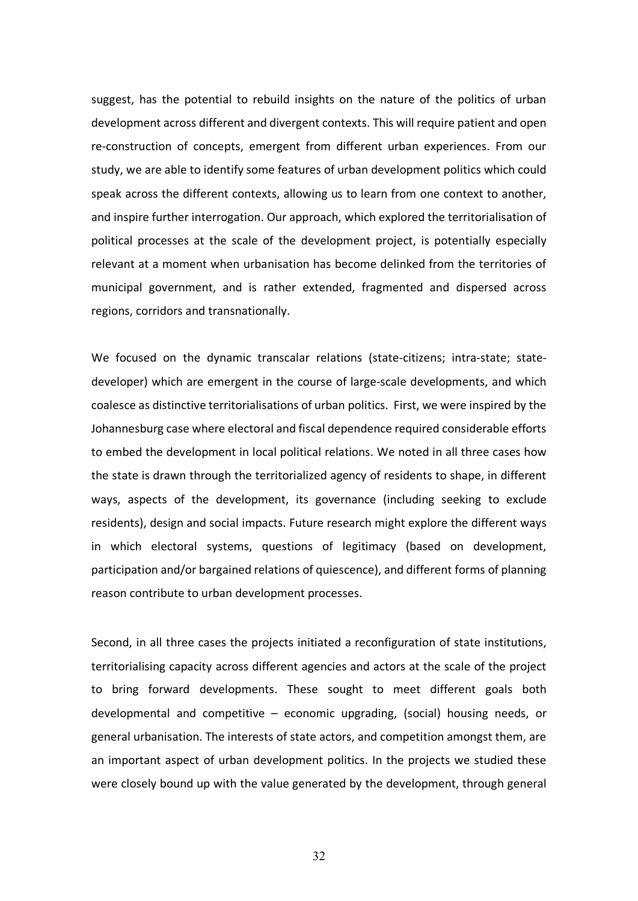suggest, has the potential to rebuild insights on the nature of the politics of urban development across different and divergent contexts. This will require patient and open re-construction of concepts, emergent from different urban experiences. From our study, we are able to identify some features of urban development politics which could speak across the different contexts, allowing us to learn from one context to another, and inspire further interrogation. Our approach, which explored the territorialisation of political processes at the scale of the development project, is potentially especially relevant at a moment when urbanisation has become delinked from the territories of municipal government, and is rather extended, fragmented and dispersed across regions, corridors and transnationally.

We focused on the dynamic transcalar relations (state-citizens; intra-state; statedeveloper) which are emergent in the course of large-scale developments, and which coalesce as distinctive territorialisations of urban politics. First, we were inspired by the Johannesburg case where electoral and fiscal dependence required considerable efforts to embed the development in local political relations. We noted in all three cases how the state is drawn through the territorialized agency of residents to shape, in different ways, aspects of the development, its governance (including seeking to exclude residents), design and social impacts. Future research might explore the different ways in which electoral systems, questions of legitimacy (based on development, participation and/or bargained relations of quiescence), and different forms of planning reason contribute to urban development processes.

Second, in all three cases the projects initiated a reconfiguration of state institutions, territorialising capacity across different agencies and actors at the scale of the project to bring forward developments. These sought to meet different goals both developmental and competitive – economic upgrading, (social) housing needs, or general urbanisation. The interests of state actors, and competition amongst them, are an important aspect of urban development politics. In the projects we studied these were closely bound up with the value generated by the development, through general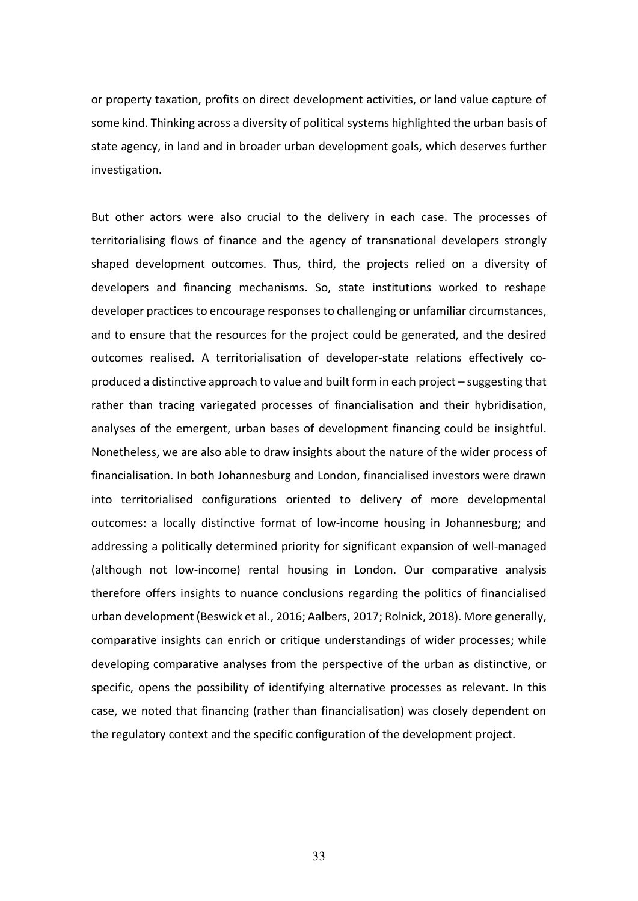or property taxation, profits on direct development activities, or land value capture of some kind. Thinking across a diversity of political systems highlighted the urban basis of state agency, in land and in broader urban development goals, which deserves further investigation.

But other actors were also crucial to the delivery in each case. The processes of territorialising flows of finance and the agency of transnational developers strongly shaped development outcomes. Thus, third, the projects relied on a diversity of developers and financing mechanisms. So, state institutions worked to reshape developer practices to encourage responses to challenging or unfamiliar circumstances, and to ensure that the resources for the project could be generated, and the desired outcomes realised. A territorialisation of developer-state relations effectively coproduced a distinctive approach to value and built form in each project – suggesting that rather than tracing variegated processes of financialisation and their hybridisation, analyses of the emergent, urban bases of development financing could be insightful. Nonetheless, we are also able to draw insights about the nature of the wider process of financialisation. In both Johannesburg and London, financialised investors were drawn into territorialised configurations oriented to delivery of more developmental outcomes: a locally distinctive format of low-income housing in Johannesburg; and addressing a politically determined priority for significant expansion of well-managed (although not low-income) rental housing in London. Our comparative analysis therefore offers insights to nuance conclusions regarding the politics of financialised urban development (Beswick et al., 2016; Aalbers, 2017; Rolnick, 2018). More generally, comparative insights can enrich or critique understandings of wider processes; while developing comparative analyses from the perspective of the urban as distinctive, or specific, opens the possibility of identifying alternative processes as relevant. In this case, we noted that financing (rather than financialisation) was closely dependent on the regulatory context and the specific configuration of the development project.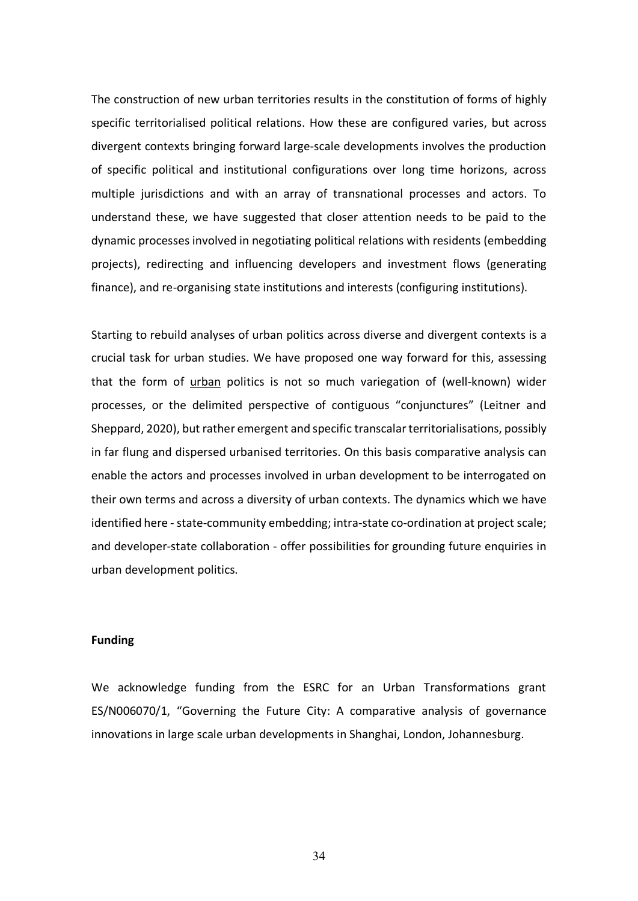The construction of new urban territories results in the constitution of forms of highly specific territorialised political relations. How these are configured varies, but across divergent contexts bringing forward large-scale developments involves the production of specific political and institutional configurations over long time horizons, across multiple jurisdictions and with an array of transnational processes and actors. To understand these, we have suggested that closer attention needs to be paid to the dynamic processes involved in negotiating political relations with residents (embedding projects), redirecting and influencing developers and investment flows (generating finance), and re-organising state institutions and interests (configuring institutions).

Starting to rebuild analyses of urban politics across diverse and divergent contexts is a crucial task for urban studies. We have proposed one way forward for this, assessing that the form of urban politics is not so much variegation of (well-known) wider processes, or the delimited perspective of contiguous "conjunctures" (Leitner and Sheppard, 2020), but rather emergent and specific transcalar territorialisations, possibly in far flung and dispersed urbanised territories. On this basis comparative analysis can enable the actors and processes involved in urban development to be interrogated on their own terms and across a diversity of urban contexts. The dynamics which we have identified here - state-community embedding; intra-state co-ordination at project scale; and developer-state collaboration - offer possibilities for grounding future enquiries in urban development politics.

# **Funding**

We acknowledge funding from the ESRC for an Urban Transformations grant ES/N006070/1, "Governing the Future City: A comparative analysis of governance innovations in large scale urban developments in Shanghai, London, Johannesburg.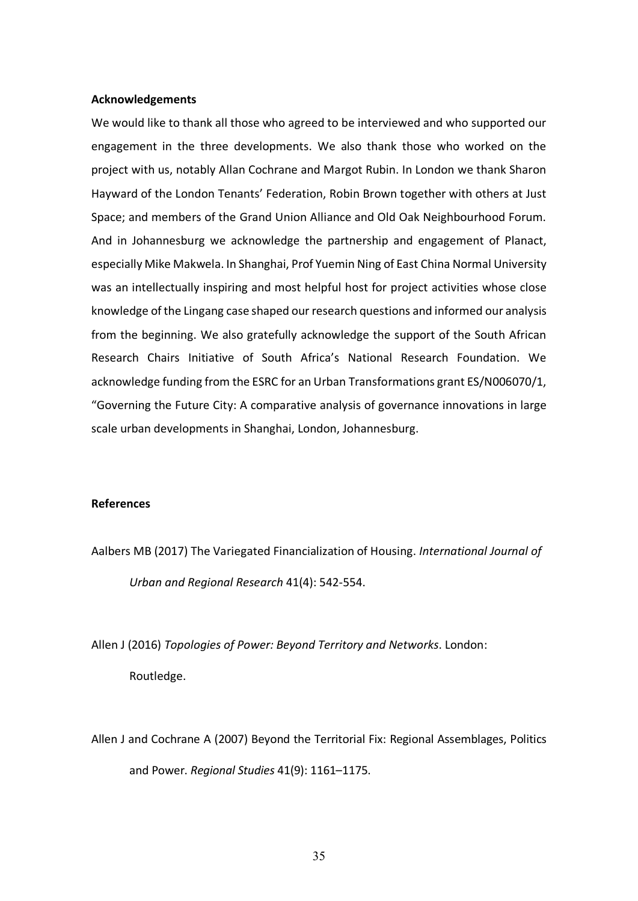## **Acknowledgements**

We would like to thank all those who agreed to be interviewed and who supported our engagement in the three developments. We also thank those who worked on the project with us, notably Allan Cochrane and Margot Rubin. In London we thank Sharon Hayward of the London Tenants' Federation, Robin Brown together with others at Just Space; and members of the Grand Union Alliance and Old Oak Neighbourhood Forum. And in Johannesburg we acknowledge the partnership and engagement of Planact, especially Mike Makwela. In Shanghai, Prof Yuemin Ning of East China Normal University was an intellectually inspiring and most helpful host for project activities whose close knowledge of the Lingang case shaped our research questions and informed our analysis from the beginning. We also gratefully acknowledge the support of the South African Research Chairs Initiative of South Africa's National Research Foundation. We acknowledge funding from the ESRC for an Urban Transformations grant ES/N006070/1, "Governing the Future City: A comparative analysis of governance innovations in large scale urban developments in Shanghai, London, Johannesburg.

## **References**

Aalbers MB (2017) The Variegated Financialization of Housing. *International Journal of Urban and Regional Research* 41(4): 542-554.

Allen J (2016) *Topologies of Power: Beyond Territory and Networks*. London: Routledge.

Allen J and Cochrane A (2007) Beyond the Territorial Fix: Regional Assemblages, Politics and Power. *Regional Studies* 41(9): 1161–1175.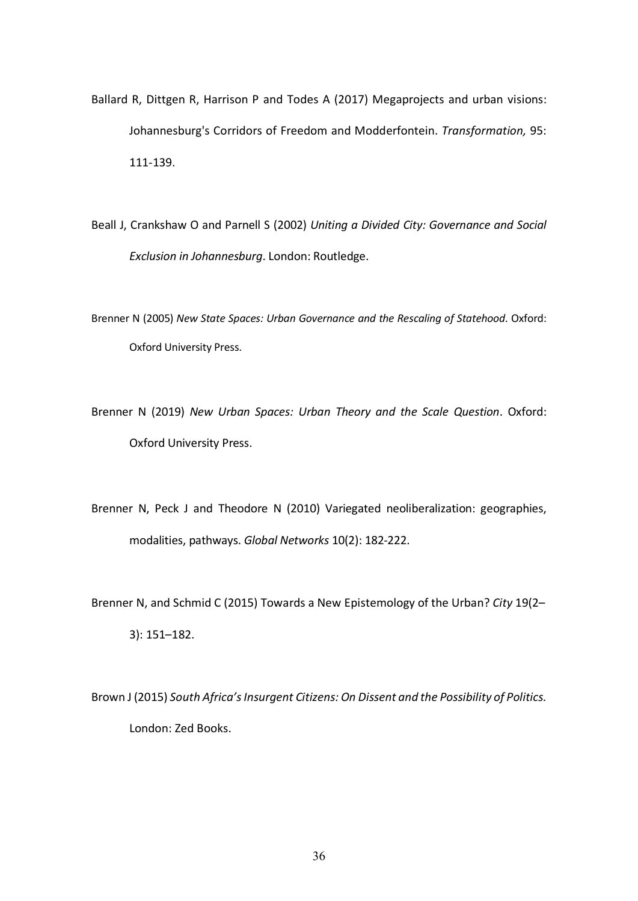- Ballard R, Dittgen R, Harrison P and Todes A (2017) Megaprojects and urban visions: Johannesburg's Corridors of Freedom and Modderfontein. *Transformation,* 95: 111-139.
- Beall J, Crankshaw O and Parnell S (2002) *Uniting a Divided City: Governance and Social Exclusion in Johannesburg*. London: Routledge.
- Brenner N (2005) *New State Spaces: Urban Governance and the Rescaling of Statehood*. Oxford: Oxford University Press.
- Brenner N (2019) *New Urban Spaces: Urban Theory and the Scale Question*. Oxford: Oxford University Press.
- Brenner N, Peck J and Theodore N (2010) Variegated neoliberalization: geographies, modalities, pathways. *Global Networks* 10(2): 182-222.
- Brenner N, and Schmid C (2015) Towards a New Epistemology of the Urban? *City* 19(2– 3): 151–182.
- Brown J (2015) *South Africa's Insurgent Citizens: On Dissent and the Possibility of Politics.* London: Zed Books.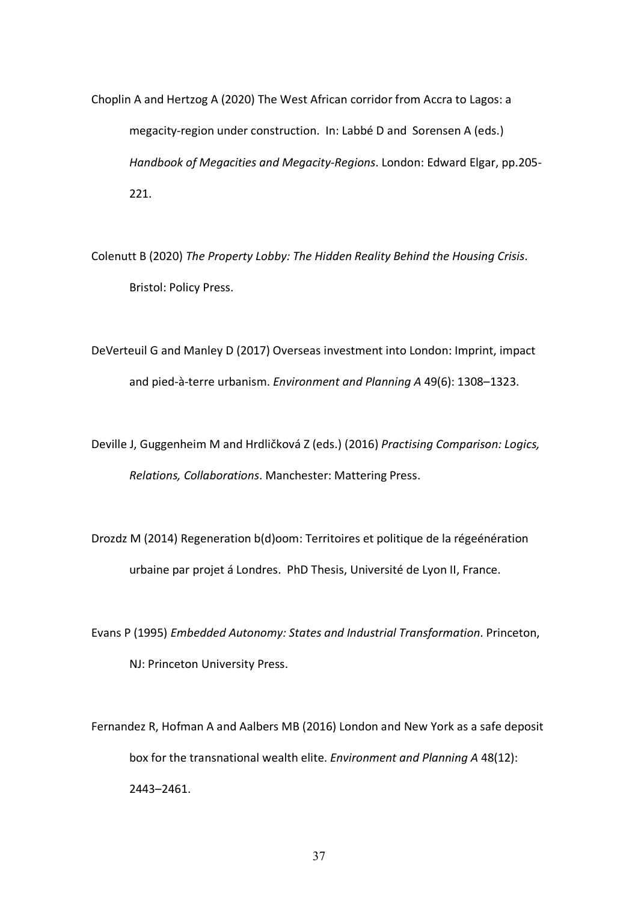- Choplin A and Hertzog A (2020) The West African corridor from Accra to Lagos: a megacity-region under construction. In: Labbé D and Sorensen A (eds.) *Handbook of Megacities and Megacity-Regions*. London: Edward Elgar, pp.205- 221.
- Colenutt B (2020) *The Property Lobby: The Hidden Reality Behind the Housing Crisis*. Bristol: Policy Press.

DeVerteuil G and Manley D (2017) Overseas investment into London: Imprint, impact and pied-à-terre urbanism. *Environment and Planning A* 49(6): 1308–1323.

Deville J, Guggenheim M and Hrdličková Z (eds.) (2016) *Practising Comparison: Logics, Relations, Collaborations*. Manchester: Mattering Press.

Drozdz M (2014) Regeneration b(d)oom: Territoires et politique de la régeénération urbaine par projet á Londres. PhD Thesis, Université de Lyon II, France.

Evans P (1995) *Embedded Autonomy: States and Industrial Transformation*. Princeton, NJ: Princeton University Press.

Fernandez R, Hofman A and Aalbers MB (2016) London and New York as a safe deposit box for the transnational wealth elite. *Environment and Planning A* 48(12): 2443–2461.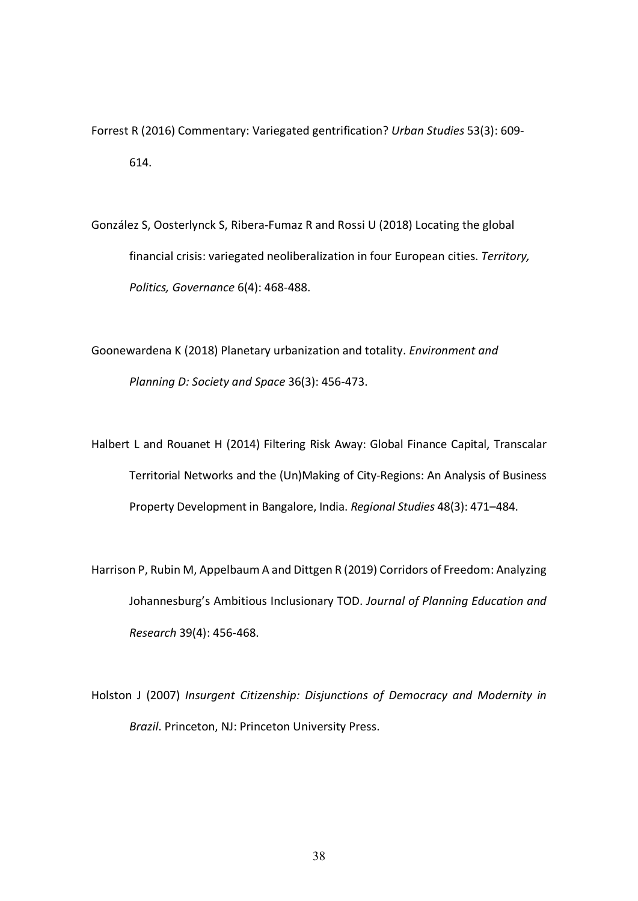Forrest R (2016) Commentary: Variegated gentrification? *Urban Studies* 53(3): 609- 614.

González S, Oosterlynck S, Ribera-Fumaz R and Rossi U (2018) Locating the global financial crisis: variegated neoliberalization in four European cities. *Territory, Politics, Governance* 6(4): 468-488.

Goonewardena K (2018) Planetary urbanization and totality. *Environment and Planning D: Society and Space* 36(3): 456-473.

Halbert L and Rouanet H (2014) Filtering Risk Away: Global Finance Capital, Transcalar Territorial Networks and the (Un)Making of City-Regions: An Analysis of Business Property Development in Bangalore, India. *Regional Studies* 48(3): 471–484.

Harrison P, Rubin M, Appelbaum A and Dittgen R (2019) Corridors of Freedom: Analyzing Johannesburg's Ambitious Inclusionary TOD. *Journal of Planning Education and Research* 39(4): 456-468.

Holston J (2007) *Insurgent Citizenship: Disjunctions of Democracy and Modernity in Brazil*. Princeton, NJ: Princeton University Press.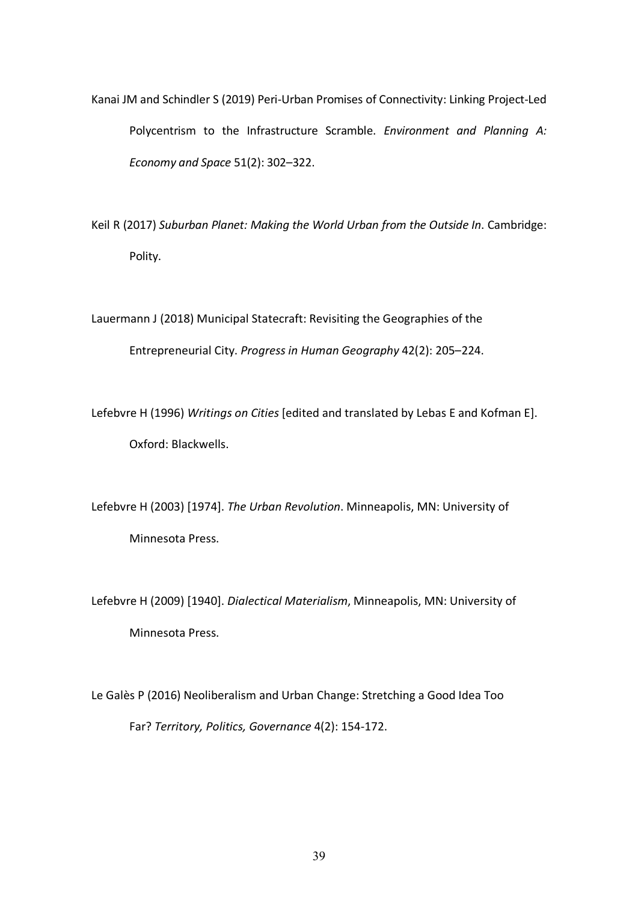Kanai JM and Schindler S (2019) Peri-Urban Promises of Connectivity: Linking Project-Led Polycentrism to the Infrastructure Scramble. *Environment and Planning A: Economy and Space* 51(2): 302–322.

Keil R (2017) *Suburban Planet: Making the World Urban from the Outside In*. Cambridge: Polity.

Lauermann J (2018) Municipal Statecraft: Revisiting the Geographies of the Entrepreneurial City. *Progress in Human Geography* 42(2): 205–224.

Lefebvre H (1996) *Writings on Cities* [edited and translated by Lebas E and Kofman E]. Oxford: Blackwells.

Lefebvre H (2003) [1974]. *The Urban Revolution*. Minneapolis, MN: University of Minnesota Press.

Lefebvre H (2009) [1940]. *Dialectical Materialism*, Minneapolis, MN: University of Minnesota Press.

Le Galès P (2016) Neoliberalism and Urban Change: Stretching a Good Idea Too Far? *Territory, Politics, Governance* 4(2): 154-172.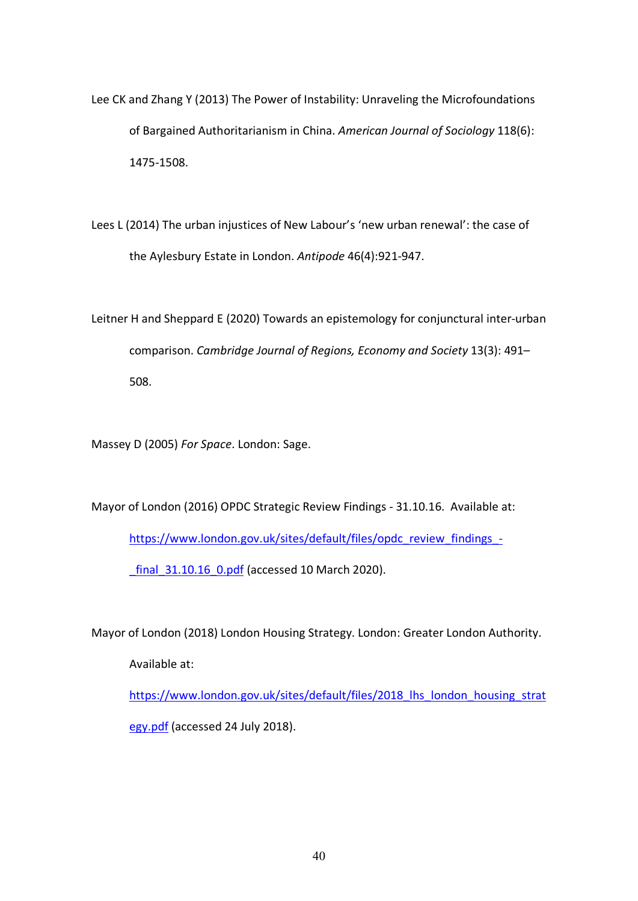- Lee CK and Zhang Y (2013) The Power of Instability: Unraveling the Microfoundations of Bargained Authoritarianism in China. *American Journal of Sociology* 118(6): 1475-1508.
- Lees L (2014) The urban injustices of New Labour's 'new urban renewal': the case of the Aylesbury Estate in London. *Antipode* 46(4):921-947.
- Leitner H and Sheppard E (2020) Towards an epistemology for conjunctural inter-urban comparison. *Cambridge Journal of Regions, Economy and Society* 13(3): 491– 508.

Massey D (2005) *For Space*. London: Sage.

Mayor of London (2016) OPDC Strategic Review Findings - 31.10.16. Available at:

https://www.london.gov.uk/sites/default/files/opdc\_review\_findings\_-

final 31.10.16 0.pdf (accessed 10 March 2020).

Mayor of London (2018) London Housing Strategy. London: Greater London Authority.

Available at:

https://www.london.gov.uk/sites/default/files/2018 lhs london housing strat egy.pdf (accessed 24 July 2018).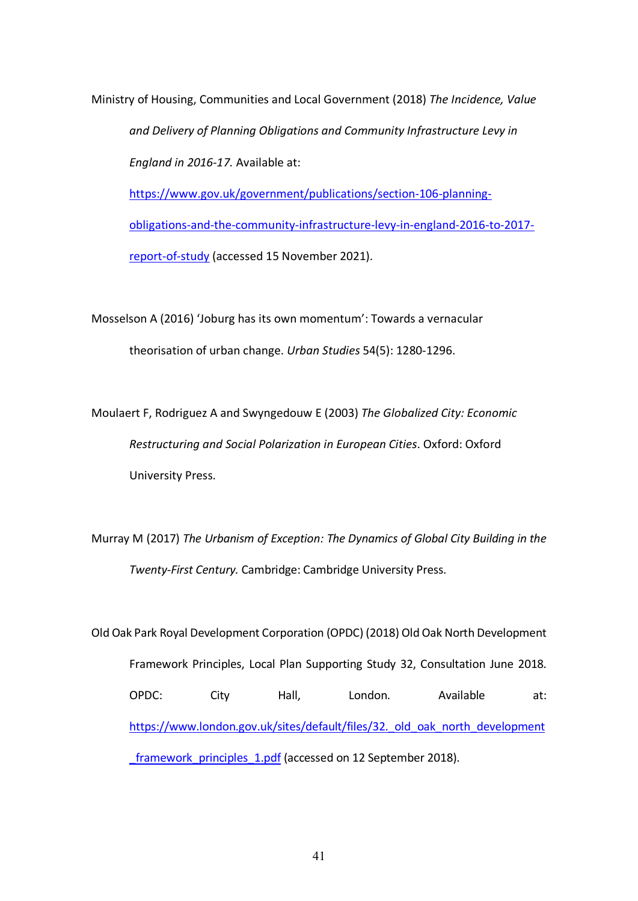Ministry of Housing, Communities and Local Government (2018) *The Incidence, Value and Delivery of Planning Obligations and Community Infrastructure Levy in England in 2016-17.* Available at: https://www.gov.uk/government/publications/section-106-planningobligations-and-the-community-infrastructure-levy-in-england-2016-to-2017-

report-of-study (accessed 15 November 2021).

Mosselson A (2016) 'Joburg has its own momentum': Towards a vernacular theorisation of urban change. *Urban Studies* 54(5): 1280-1296.

Moulaert F, Rodriguez A and Swyngedouw E (2003) *The Globalized City: Economic Restructuring and Social Polarization in European Cities*. Oxford: Oxford University Press.

Murray M (2017) *The Urbanism of Exception: The Dynamics of Global City Building in the Twenty-First Century.* Cambridge: Cambridge University Press.

Old Oak Park Royal Development Corporation (OPDC) (2018) Old Oak North Development Framework Principles, Local Plan Supporting Study 32, Consultation June 2018. OPDC: City Hall, London. Available at: https://www.london.gov.uk/sites/default/files/32. old\_oak\_north\_development framework principles 1.pdf (accessed on 12 September 2018).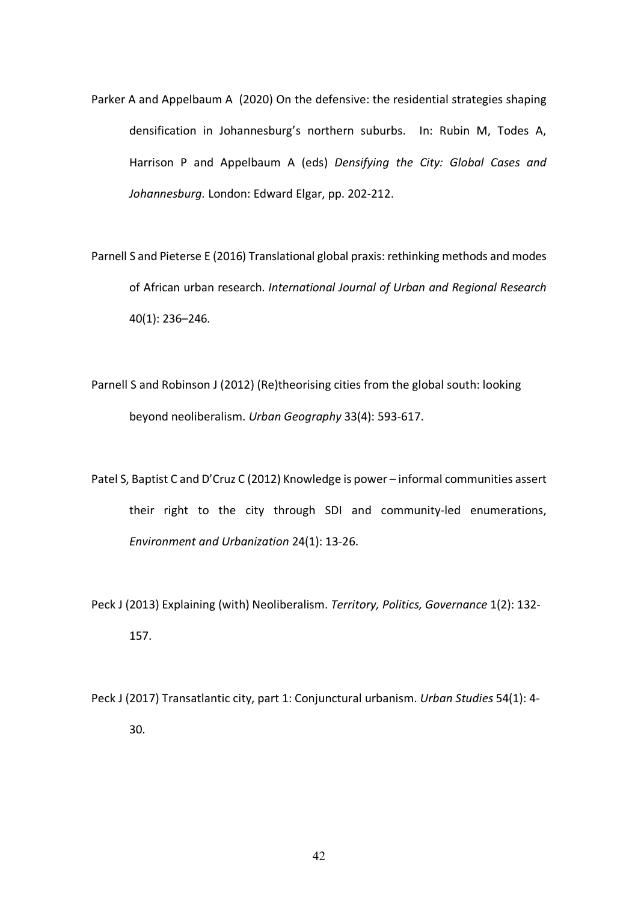- Parker A and Appelbaum A (2020) On the defensive: the residential strategies shaping densification in Johannesburg's northern suburbs. In: Rubin M, Todes A, Harrison P and Appelbaum A (eds) *Densifying the City: Global Cases and Johannesburg.* London: Edward Elgar, pp. 202-212.
- Parnell S and Pieterse E (2016) Translational global praxis: rethinking methods and modes of African urban research. *International Journal of Urban and Regional Research* 40(1): 236–246.
- Parnell S and Robinson J (2012) (Re)theorising cities from the global south: looking beyond neoliberalism. *Urban Geography* 33(4): 593-617.
- Patel S, Baptist C and D'Cruz C (2012) Knowledge is power informal communities assert their right to the city through SDI and community-led enumerations, *Environment and Urbanization* 24(1): 13-26.
- Peck J (2013) Explaining (with) Neoliberalism. *Territory, Politics, Governance* 1(2): 132- 157.
- Peck J (2017) Transatlantic city, part 1: Conjunctural urbanism. *Urban Studies* 54(1): 4- 30.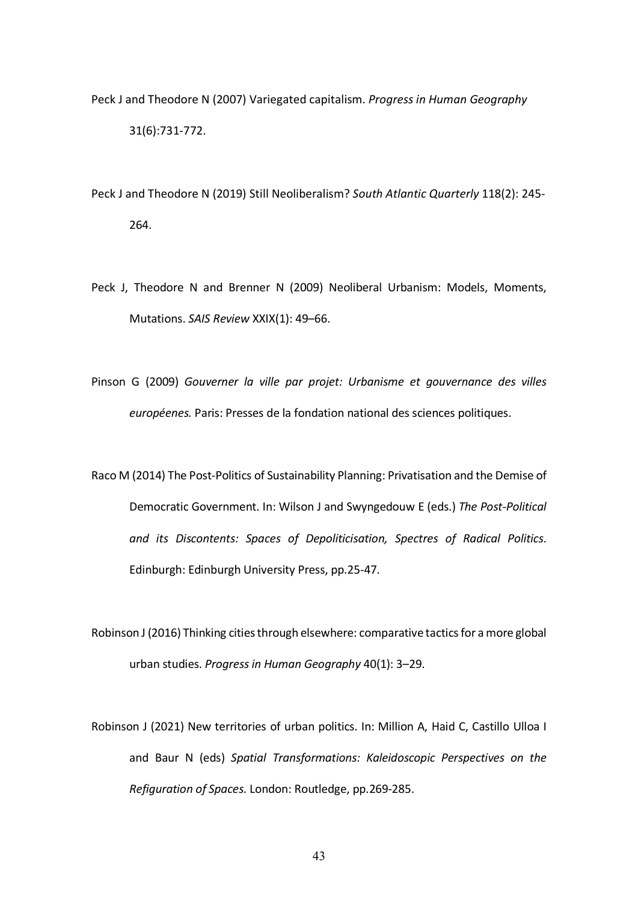- Peck J and Theodore N (2007) Variegated capitalism. *Progress in Human Geography* 31(6):731-772.
- Peck J and Theodore N (2019) Still Neoliberalism? *South Atlantic Quarterly* 118(2): 245- 264.
- Peck J, Theodore N and Brenner N (2009) Neoliberal Urbanism: Models, Moments, Mutations. *SAIS Review* XXIX(1): 49–66.
- Pinson G (2009) *Gouverner la ville par projet: Urbanisme et gouvernance des villes européenes.* Paris: Presses de la fondation national des sciences politiques.
- Raco M (2014) The Post-Politics of Sustainability Planning: Privatisation and the Demise of Democratic Government. In: Wilson J and Swyngedouw E (eds.) *The Post-Political and its Discontents: Spaces of Depoliticisation, Spectres of Radical Politics*. Edinburgh: Edinburgh University Press, pp.25-47.
- Robinson J (2016) Thinking cities through elsewhere: comparative tactics for a more global urban studies. *Progress in Human Geography* 40(1): 3–29.
- Robinson J (2021) New territories of urban politics. In: Million A, Haid C, Castillo Ulloa I and Baur N (eds) *Spatial Transformations: Kaleidoscopic Perspectives on the Refiguration of Spaces*. London: Routledge, pp.269-285.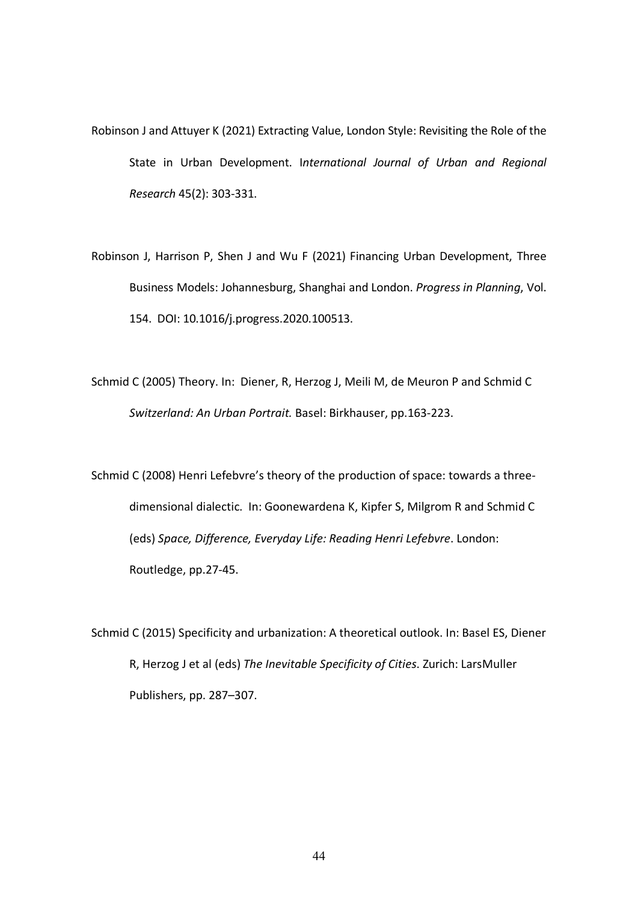- Robinson J and Attuyer K (2021) Extracting Value, London Style: Revisiting the Role of the State in Urban Development. I*nternational Journal of Urban and Regional Research* 45(2): 303-331.
- Robinson J, Harrison P, Shen J and Wu F (2021) Financing Urban Development, Three Business Models: Johannesburg, Shanghai and London. *Progress in Planning*, Vol. 154. DOI: 10.1016/j.progress.2020.100513.
- Schmid C (2005) Theory. In: Diener, R, Herzog J, Meili M, de Meuron P and Schmid C *Switzerland: An Urban Portrait.* Basel: Birkhauser, pp.163-223.

Schmid C (2008) Henri Lefebvre's theory of the production of space: towards a threedimensional dialectic. In: Goonewardena K, Kipfer S, Milgrom R and Schmid C (eds) *Space, Difference, Everyday Life: Reading Henri Lefebvre*. London: Routledge, pp.27-45.

Schmid C (2015) Specificity and urbanization: A theoretical outlook. In: Basel ES, Diener R, Herzog J et al (eds) *The Inevitable Specificity of Cities*. Zurich: LarsMuller Publishers, pp. 287–307.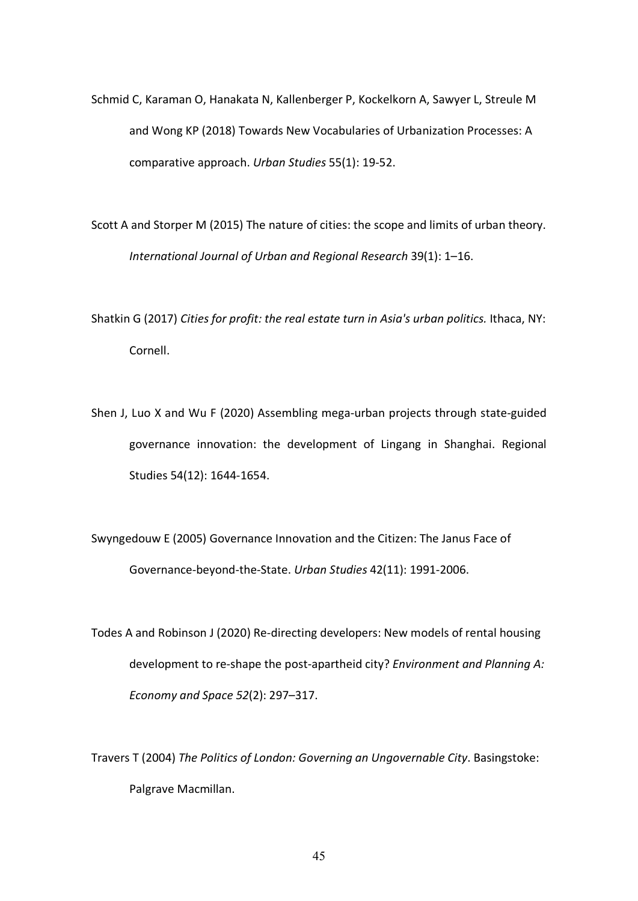Schmid C, Karaman O, Hanakata N, Kallenberger P, Kockelkorn A, Sawyer L, Streule M and Wong KP (2018) Towards New Vocabularies of Urbanization Processes: A comparative approach. *Urban Studies* 55(1): 19-52.

Scott A and Storper M (2015) The nature of cities: the scope and limits of urban theory. *International Journal of Urban and Regional Research* 39(1): 1–16.

Shatkin G (2017) *Cities for profit: the real estate turn in Asia's urban politics.* Ithaca, NY: Cornell.

Shen J, Luo X and Wu F (2020) Assembling mega-urban projects through state-guided governance innovation: the development of Lingang in Shanghai. Regional Studies 54(12): 1644-1654.

Swyngedouw E (2005) Governance Innovation and the Citizen: The Janus Face of Governance-beyond-the-State. *Urban Studies* 42(11): 1991-2006.

Todes A and Robinson J (2020) Re-directing developers: New models of rental housing development to re-shape the post-apartheid city? *Environment and Planning A: Economy and Space 52*(2): 297–317.

Travers T (2004) *The Politics of London: Governing an Ungovernable City*. Basingstoke: Palgrave Macmillan.